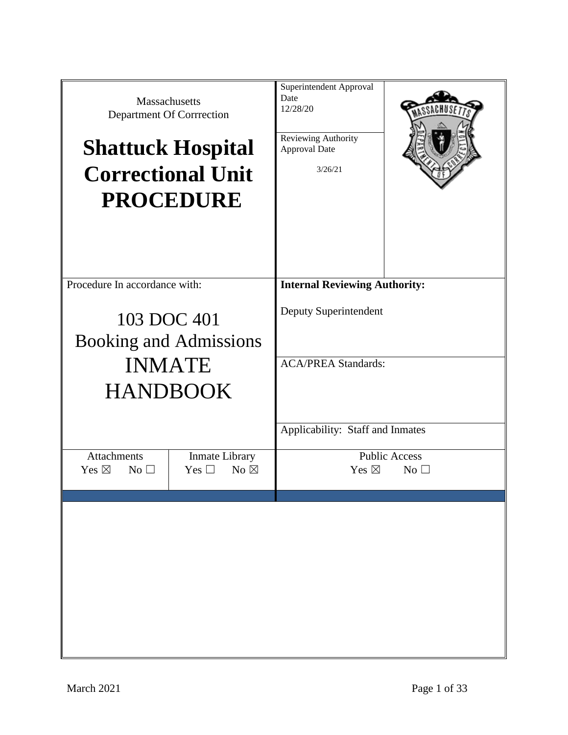| Massachusetts<br>Department Of Corrrection<br><b>Shattuck Hospital</b> | <b>Correctional Unit</b><br><b>PROCEDURE</b>             | Superintendent Approval<br>Date<br>12/28/20<br>Reviewing Authority<br>Approval Date<br>3/26/21 |                                        |
|------------------------------------------------------------------------|----------------------------------------------------------|------------------------------------------------------------------------------------------------|----------------------------------------|
| Procedure In accordance with:                                          |                                                          | <b>Internal Reviewing Authority:</b>                                                           |                                        |
| 103 DOC 401<br><b>Booking and Admissions</b>                           |                                                          | Deputy Superintendent                                                                          |                                        |
| <b>INMATE</b><br><b>HANDBOOK</b>                                       |                                                          | <b>ACA/PREA Standards:</b>                                                                     |                                        |
|                                                                        |                                                          | Applicability: Staff and Inmates                                                               |                                        |
| <b>Attachments</b><br>Yes $\boxtimes$<br>$No$ $\square$                | <b>Inmate Library</b><br>Yes $\square$<br>No $\boxtimes$ | Yes $\boxtimes$                                                                                | <b>Public Access</b><br>$No$ $\square$ |
|                                                                        |                                                          |                                                                                                |                                        |
|                                                                        |                                                          |                                                                                                |                                        |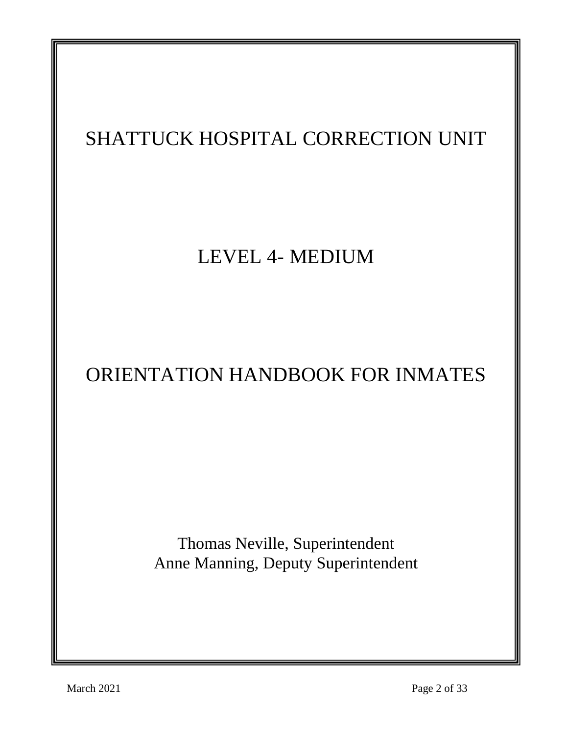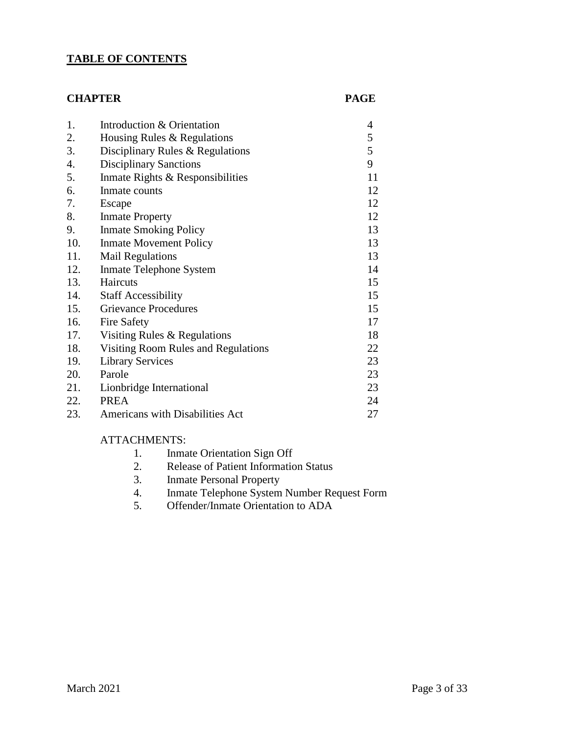### **TABLE OF CONTENTS**

#### **CHAPTER PAGE**

| 1.               | Introduction & Orientation          | 4  |
|------------------|-------------------------------------|----|
| 2.               | Housing Rules & Regulations         | 5  |
| 3.               | Disciplinary Rules & Regulations    | 5  |
| $\overline{4}$ . | <b>Disciplinary Sanctions</b>       | 9  |
| 5.               | Inmate Rights & Responsibilities    | 11 |
| 6.               | Inmate counts                       | 12 |
| 7.               | Escape                              | 12 |
| 8.               | <b>Inmate Property</b>              | 12 |
| 9.               | <b>Inmate Smoking Policy</b>        | 13 |
| 10.              | <b>Inmate Movement Policy</b>       | 13 |
| 11.              | <b>Mail Regulations</b>             | 13 |
| 12.              | Inmate Telephone System             | 14 |
| 13.              | Haircuts                            | 15 |
| 14.              | <b>Staff Accessibility</b>          | 15 |
| 15.              | <b>Grievance Procedures</b>         | 15 |
| 16.              | <b>Fire Safety</b>                  | 17 |
| 17.              | Visiting Rules & Regulations        | 18 |
| 18.              | Visiting Room Rules and Regulations | 22 |
| 19.              | <b>Library Services</b>             | 23 |
| 20.              | Parole                              | 23 |
| 21.              | Lionbridge International            | 23 |
| 22.              | <b>PREA</b>                         | 24 |
| 23.              | Americans with Disabilities Act     | 27 |

#### ATTACHMENTS:

- 1. Inmate Orientation Sign Off<br>2. Release of Patient Information
- 2. Release of Patient Information Status
- 3. Inmate Personal Property
- 4. Inmate Telephone System Number Request Form
- 5. Offender/Inmate Orientation to ADA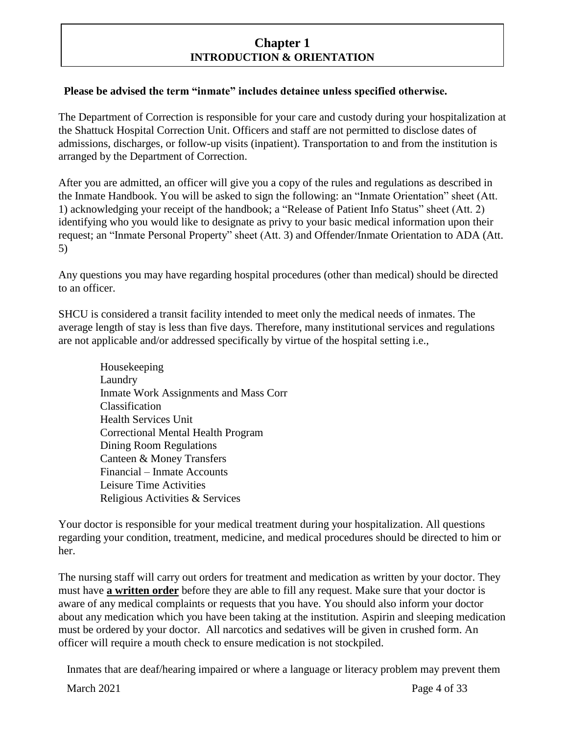# **Chapter 1 INTRODUCTION & ORIENTATION**

#### **Please be advised the term "inmate" includes detainee unless specified otherwise.**

The Department of Correction is responsible for your care and custody during your hospitalization at the Shattuck Hospital Correction Unit. Officers and staff are not permitted to disclose dates of admissions, discharges, or follow-up visits (inpatient). Transportation to and from the institution is arranged by the Department of Correction.

After you are admitted, an officer will give you a copy of the rules and regulations as described in the Inmate Handbook. You will be asked to sign the following: an "Inmate Orientation" sheet (Att. 1) acknowledging your receipt of the handbook; a "Release of Patient Info Status" sheet (Att. 2) identifying who you would like to designate as privy to your basic medical information upon their request; an "Inmate Personal Property" sheet (Att. 3) and Offender/Inmate Orientation to ADA (Att. 5)

Any questions you may have regarding hospital procedures (other than medical) should be directed to an officer.

SHCU is considered a transit facility intended to meet only the medical needs of inmates. The average length of stay is less than five days. Therefore, many institutional services and regulations are not applicable and/or addressed specifically by virtue of the hospital setting i.e.,

Housekeeping Laundry Inmate Work Assignments and Mass Corr Classification Health Services Unit Correctional Mental Health Program Dining Room Regulations Canteen & Money Transfers Financial – Inmate Accounts Leisure Time Activities Religious Activities & Services

Your doctor is responsible for your medical treatment during your hospitalization. All questions regarding your condition, treatment, medicine, and medical procedures should be directed to him or her.

The nursing staff will carry out orders for treatment and medication as written by your doctor. They must have **a written order** before they are able to fill any request. Make sure that your doctor is aware of any medical complaints or requests that you have. You should also inform your doctor about any medication which you have been taking at the institution. Aspirin and sleeping medication must be ordered by your doctor. All narcotics and sedatives will be given in crushed form. An officer will require a mouth check to ensure medication is not stockpiled.

Inmates that are deaf/hearing impaired or where a language or literacy problem may prevent them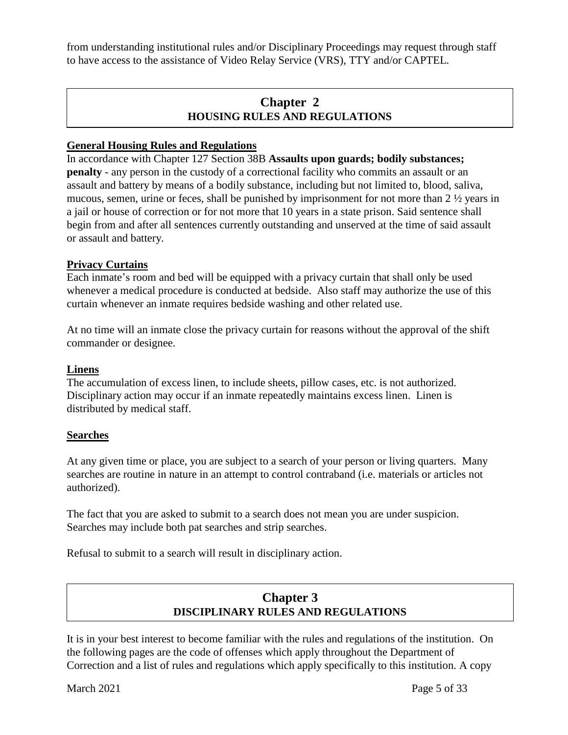from understanding institutional rules and/or Disciplinary Proceedings may request through staff to have access to the assistance of Video Relay Service (VRS), TTY and/or CAPTEL.

# **Chapter 2 HOUSING RULES AND REGULATIONS**

#### **General Housing Rules and Regulations**

In accordance with Chapter 127 Section 38B **Assaults upon guards; bodily substances; penalty** - any person in the custody of a correctional facility who commits an assault or an assault and battery by means of a bodily substance, including but not limited to, blood, saliva, mucous, semen, urine or feces, shall be punished by imprisonment for not more than 2 ½ years in a jail or house of correction or for not more that 10 years in a state prison. Said sentence shall begin from and after all sentences currently outstanding and unserved at the time of said assault or assault and battery.

#### **Privacy Curtains**

Each inmate's room and bed will be equipped with a privacy curtain that shall only be used whenever a medical procedure is conducted at bedside. Also staff may authorize the use of this curtain whenever an inmate requires bedside washing and other related use.

At no time will an inmate close the privacy curtain for reasons without the approval of the shift commander or designee.

#### **Linens**

The accumulation of excess linen, to include sheets, pillow cases, etc. is not authorized. Disciplinary action may occur if an inmate repeatedly maintains excess linen. Linen is distributed by medical staff.

#### **Searches**

At any given time or place, you are subject to a search of your person or living quarters. Many searches are routine in nature in an attempt to control contraband (i.e. materials or articles not authorized).

The fact that you are asked to submit to a search does not mean you are under suspicion. Searches may include both pat searches and strip searches.

Refusal to submit to a search will result in disciplinary action.

# **Chapter 3 DISCIPLINARY RULES AND REGULATIONS**

It is in your best interest to become familiar with the rules and regulations of the institution. On the following pages are the code of offenses which apply throughout the Department of Correction and a list of rules and regulations which apply specifically to this institution. A copy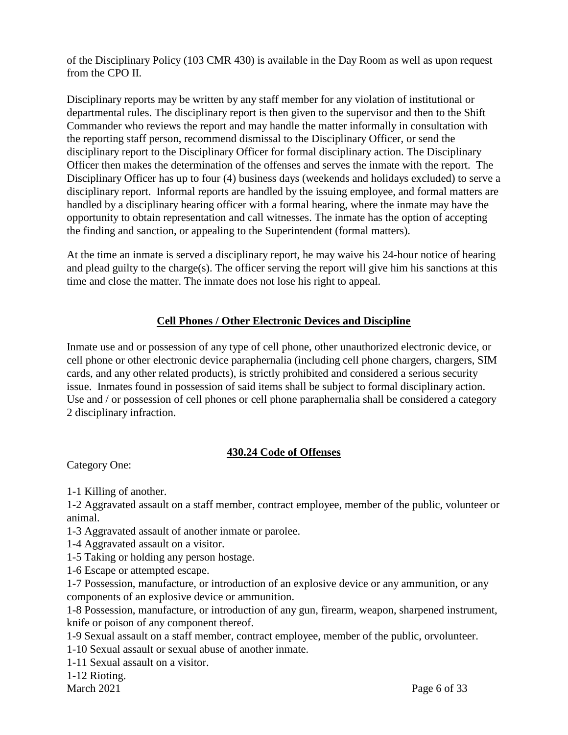of the Disciplinary Policy (103 CMR 430) is available in the Day Room as well as upon request from the CPO II.

Disciplinary reports may be written by any staff member for any violation of institutional or departmental rules. The disciplinary report is then given to the supervisor and then to the Shift Commander who reviews the report and may handle the matter informally in consultation with the reporting staff person, recommend dismissal to the Disciplinary Officer, or send the disciplinary report to the Disciplinary Officer for formal disciplinary action. The Disciplinary Officer then makes the determination of the offenses and serves the inmate with the report. The Disciplinary Officer has up to four (4) business days (weekends and holidays excluded) to serve a disciplinary report. Informal reports are handled by the issuing employee, and formal matters are handled by a disciplinary hearing officer with a formal hearing, where the inmate may have the opportunity to obtain representation and call witnesses. The inmate has the option of accepting the finding and sanction, or appealing to the Superintendent (formal matters).

At the time an inmate is served a disciplinary report, he may waive his 24-hour notice of hearing and plead guilty to the charge(s). The officer serving the report will give him his sanctions at this time and close the matter. The inmate does not lose his right to appeal.

### **Cell Phones / Other Electronic Devices and Discipline**

Inmate use and or possession of any type of cell phone, other unauthorized electronic device, or cell phone or other electronic device paraphernalia (including cell phone chargers, chargers, SIM cards, and any other related products), is strictly prohibited and considered a serious security issue. Inmates found in possession of said items shall be subject to formal disciplinary action. Use and / or possession of cell phones or cell phone paraphernalia shall be considered a category 2 disciplinary infraction.

#### **430.24 Code of Offenses**

Category One:

1-1 Killing of another.

1-2 Aggravated assault on a staff member, contract employee, member of the public, volunteer or animal.

1-3 Aggravated assault of another inmate or parolee.

1-4 Aggravated assault on a visitor.

1-5 Taking or holding any person hostage.

1-6 Escape or attempted escape.

1-7 Possession, manufacture, or introduction of an explosive device or any ammunition, or any components of an explosive device or ammunition.

1-8 Possession, manufacture, or introduction of any gun, firearm, weapon, sharpened instrument, knife or poison of any component thereof.

1-9 Sexual assault on a staff member, contract employee, member of the public, orvolunteer.

1-10 Sexual assault or sexual abuse of another inmate.

1-11 Sexual assault on a visitor.

1-12 Rioting.

March 2021 Page 6 of 33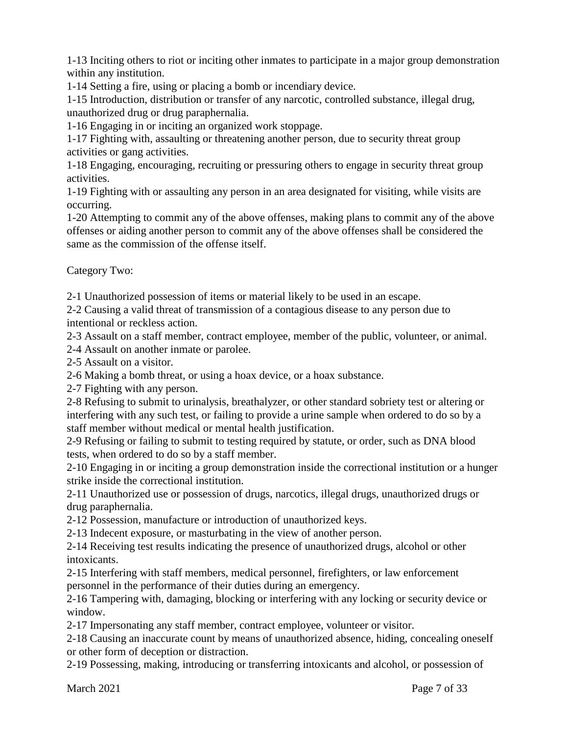1-13 Inciting others to riot or inciting other inmates to participate in a major group demonstration within any institution.

1-14 Setting a fire, using or placing a bomb or incendiary device.

1-15 Introduction, distribution or transfer of any narcotic, controlled substance, illegal drug, unauthorized drug or drug paraphernalia.

1-16 Engaging in or inciting an organized work stoppage.

1-17 Fighting with, assaulting or threatening another person, due to security threat group activities or gang activities.

1-18 Engaging, encouraging, recruiting or pressuring others to engage in security threat group activities.

1-19 Fighting with or assaulting any person in an area designated for visiting, while visits are occurring.

1-20 Attempting to commit any of the above offenses, making plans to commit any of the above offenses or aiding another person to commit any of the above offenses shall be considered the same as the commission of the offense itself.

Category Two:

2-1 Unauthorized possession of items or material likely to be used in an escape.

2-2 Causing a valid threat of transmission of a contagious disease to any person due to intentional or reckless action.

2-3 Assault on a staff member, contract employee, member of the public, volunteer, or animal.

2-4 Assault on another inmate or parolee.

2-5 Assault on a visitor.

2-6 Making a bomb threat, or using a hoax device, or a hoax substance.

2-7 Fighting with any person.

2-8 Refusing to submit to urinalysis, breathalyzer, or other standard sobriety test or altering or interfering with any such test, or failing to provide a urine sample when ordered to do so by a staff member without medical or mental health justification.

2-9 Refusing or failing to submit to testing required by statute, or order, such as DNA blood tests, when ordered to do so by a staff member.

2-10 Engaging in or inciting a group demonstration inside the correctional institution or a hunger strike inside the correctional institution.

2-11 Unauthorized use or possession of drugs, narcotics, illegal drugs, unauthorized drugs or drug paraphernalia.

2-12 Possession, manufacture or introduction of unauthorized keys.

2-13 Indecent exposure, or masturbating in the view of another person.

2-14 Receiving test results indicating the presence of unauthorized drugs, alcohol or other intoxicants.

2-15 Interfering with staff members, medical personnel, firefighters, or law enforcement personnel in the performance of their duties during an emergency.

2-16 Tampering with, damaging, blocking or interfering with any locking or security device or window.

2-17 Impersonating any staff member, contract employee, volunteer or visitor.

2-18 Causing an inaccurate count by means of unauthorized absence, hiding, concealing oneself or other form of deception or distraction.

2-19 Possessing, making, introducing or transferring intoxicants and alcohol, or possession of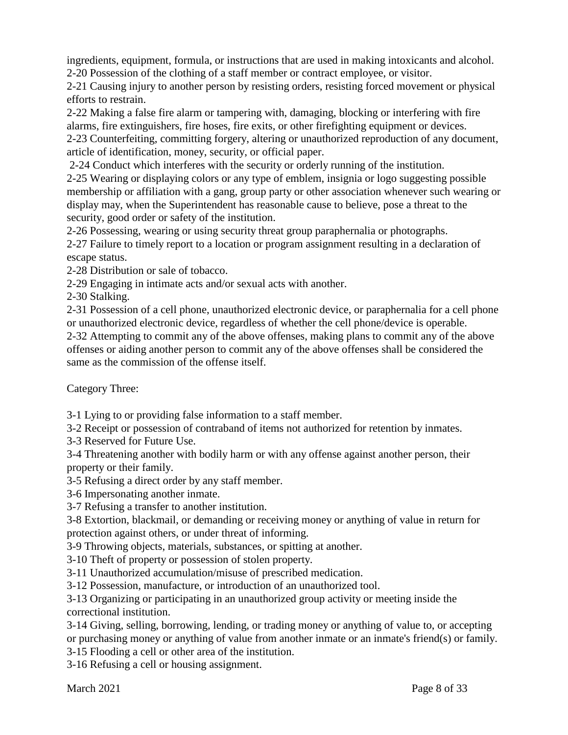ingredients, equipment, formula, or instructions that are used in making intoxicants and alcohol. 2-20 Possession of the clothing of a staff member or contract employee, or visitor.

2-21 Causing injury to another person by resisting orders, resisting forced movement or physical efforts to restrain.

2-22 Making a false fire alarm or tampering with, damaging, blocking or interfering with fire alarms, fire extinguishers, fire hoses, fire exits, or other firefighting equipment or devices. 2-23 Counterfeiting, committing forgery, altering or unauthorized reproduction of any document, article of identification, money, security, or official paper.

2-24 Conduct which interferes with the security or orderly running of the institution.

2-25 Wearing or displaying colors or any type of emblem, insignia or logo suggesting possible membership or affiliation with a gang, group party or other association whenever such wearing or display may, when the Superintendent has reasonable cause to believe, pose a threat to the security, good order or safety of the institution.

2-26 Possessing, wearing or using security threat group paraphernalia or photographs.

2-27 Failure to timely report to a location or program assignment resulting in a declaration of escape status.

2-28 Distribution or sale of tobacco.

2-29 Engaging in intimate acts and/or sexual acts with another.

2-30 Stalking.

2-31 Possession of a cell phone, unauthorized electronic device, or paraphernalia for a cell phone or unauthorized electronic device, regardless of whether the cell phone/device is operable.

2-32 Attempting to commit any of the above offenses, making plans to commit any of the above offenses or aiding another person to commit any of the above offenses shall be considered the same as the commission of the offense itself.

Category Three:

3-1 Lying to or providing false information to a staff member.

3-2 Receipt or possession of contraband of items not authorized for retention by inmates.

3-3 Reserved for Future Use.

3-4 Threatening another with bodily harm or with any offense against another person, their property or their family.

3-5 Refusing a direct order by any staff member.

3-6 Impersonating another inmate.

3-7 Refusing a transfer to another institution.

3-8 Extortion, blackmail, or demanding or receiving money or anything of value in return for protection against others, or under threat of informing.

3-9 Throwing objects, materials, substances, or spitting at another.

3-10 Theft of property or possession of stolen property.

3-11 Unauthorized accumulation/misuse of prescribed medication.

3-12 Possession, manufacture, or introduction of an unauthorized tool.

3-13 Organizing or participating in an unauthorized group activity or meeting inside the correctional institution.

3-14 Giving, selling, borrowing, lending, or trading money or anything of value to, or accepting or purchasing money or anything of value from another inmate or an inmate's friend(s) or family.

3-15 Flooding a cell or other area of the institution.

3-16 Refusing a cell or housing assignment.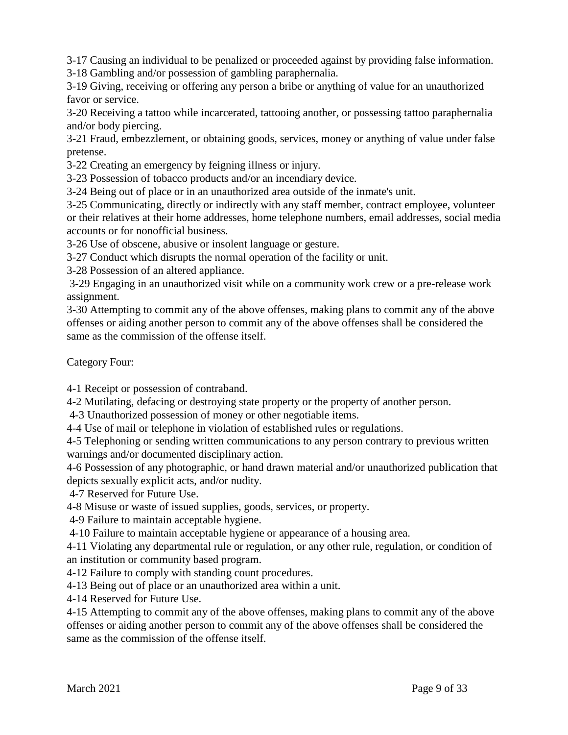3-17 Causing an individual to be penalized or proceeded against by providing false information.

3-18 Gambling and/or possession of gambling paraphernalia.

3-19 Giving, receiving or offering any person a bribe or anything of value for an unauthorized favor or service.

3-20 Receiving a tattoo while incarcerated, tattooing another, or possessing tattoo paraphernalia and/or body piercing.

3-21 Fraud, embezzlement, or obtaining goods, services, money or anything of value under false pretense.

3-22 Creating an emergency by feigning illness or injury.

3-23 Possession of tobacco products and/or an incendiary device.

3-24 Being out of place or in an unauthorized area outside of the inmate's unit.

3-25 Communicating, directly or indirectly with any staff member, contract employee, volunteer or their relatives at their home addresses, home telephone numbers, email addresses, social media accounts or for nonofficial business.

3-26 Use of obscene, abusive or insolent language or gesture.

3-27 Conduct which disrupts the normal operation of the facility or unit.

3-28 Possession of an altered appliance.

3-29 Engaging in an unauthorized visit while on a community work crew or a pre-release work assignment.

3-30 Attempting to commit any of the above offenses, making plans to commit any of the above offenses or aiding another person to commit any of the above offenses shall be considered the same as the commission of the offense itself.

Category Four:

4-1 Receipt or possession of contraband.

4-2 Mutilating, defacing or destroying state property or the property of another person.

4-3 Unauthorized possession of money or other negotiable items.

4-4 Use of mail or telephone in violation of established rules or regulations.

4-5 Telephoning or sending written communications to any person contrary to previous written warnings and/or documented disciplinary action.

4-6 Possession of any photographic, or hand drawn material and/or unauthorized publication that depicts sexually explicit acts, and/or nudity.

4-7 Reserved for Future Use.

4-8 Misuse or waste of issued supplies, goods, services, or property.

4-9 Failure to maintain acceptable hygiene.

4-10 Failure to maintain acceptable hygiene or appearance of a housing area.

4-11 Violating any departmental rule or regulation, or any other rule, regulation, or condition of an institution or community based program.

4-12 Failure to comply with standing count procedures.

4-13 Being out of place or an unauthorized area within a unit.

4-14 Reserved for Future Use.

4-15 Attempting to commit any of the above offenses, making plans to commit any of the above offenses or aiding another person to commit any of the above offenses shall be considered the same as the commission of the offense itself.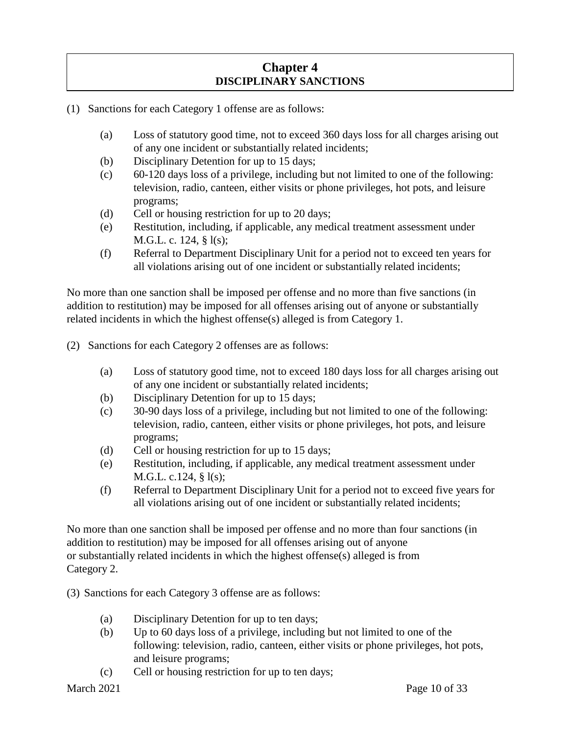# **Chapter 4 DISCIPLINARY SANCTIONS**

- (1) Sanctions for each Category 1 offense are as follows:
	- (a) Loss of statutory good time, not to exceed 360 days loss for all charges arising out of any one incident or substantially related incidents;
	- (b) Disciplinary Detention for up to 15 days;
	- (c) 60-120 days loss of a privilege, including but not limited to one of the following: television, radio, canteen, either visits or phone privileges, hot pots, and leisure programs;
	- (d) Cell or housing restriction for up to 20 days;
	- (e) Restitution, including, if applicable, any medical treatment assessment under M.G.L. c. 124, § l(s);
	- (f) Referral to Department Disciplinary Unit for a period not to exceed ten years for all violations arising out of one incident or substantially related incidents;

No more than one sanction shall be imposed per offense and no more than five sanctions (in addition to restitution) may be imposed for all offenses arising out of anyone or substantially related incidents in which the highest offense(s) alleged is from Category 1.

- (2) Sanctions for each Category 2 offenses are as follows:
	- (a) Loss of statutory good time, not to exceed 180 days loss for all charges arising out of any one incident or substantially related incidents;
	- (b) Disciplinary Detention for up to 15 days;
	- (c) 30-90 days loss of a privilege, including but not limited to one of the following: television, radio, canteen, either visits or phone privileges, hot pots, and leisure programs;
	- (d) Cell or housing restriction for up to 15 days;
	- (e) Restitution, including, if applicable, any medical treatment assessment under M.G.L. c.124, § l(s);
	- (f) Referral to Department Disciplinary Unit for a period not to exceed five years for all violations arising out of one incident or substantially related incidents;

No more than one sanction shall be imposed per offense and no more than four sanctions (in addition to restitution) may be imposed for all offenses arising out of anyone or substantially related incidents in which the highest offense(s) alleged is from Category 2.

- (3) Sanctions for each Category 3 offense are as follows:
	- (a) Disciplinary Detention for up to ten days;
	- (b) Up to 60 days loss of a privilege, including but not limited to one of the following: television, radio, canteen, either visits or phone privileges, hot pots, and leisure programs;
	- (c) Cell or housing restriction for up to ten days;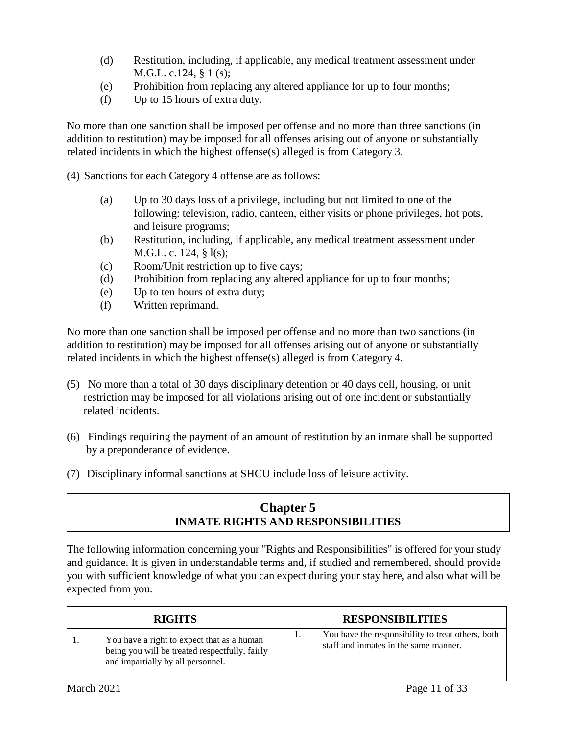- (d) Restitution, including, if applicable, any medical treatment assessment under M.G.L. c.124, § 1 (s);
- (e) Prohibition from replacing any altered appliance for up to four months;
- (f) Up to 15 hours of extra duty.

No more than one sanction shall be imposed per offense and no more than three sanctions (in addition to restitution) may be imposed for all offenses arising out of anyone or substantially related incidents in which the highest offense(s) alleged is from Category 3.

(4) Sanctions for each Category 4 offense are as follows:

- (a) Up to 30 days loss of a privilege, including but not limited to one of the following: television, radio, canteen, either visits or phone privileges, hot pots, and leisure programs;
- (b) Restitution, including, if applicable, any medical treatment assessment under M.G.L. c. 124, § l(s);
- (c) Room/Unit restriction up to five days;
- (d) Prohibition from replacing any altered appliance for up to four months;
- (e) Up to ten hours of extra duty;
- (f) Written reprimand.

No more than one sanction shall be imposed per offense and no more than two sanctions (in addition to restitution) may be imposed for all offenses arising out of anyone or substantially related incidents in which the highest offense(s) alleged is from Category 4.

- (5) No more than a total of 30 days disciplinary detention or 40 days cell, housing, or unit restriction may be imposed for all violations arising out of one incident or substantially related incidents.
- (6) Findings requiring the payment of an amount of restitution by an inmate shall be supported by a preponderance of evidence.
- (7) Disciplinary informal sanctions at SHCU include loss of leisure activity.

# **Chapter 5 INMATE RIGHTS AND RESPONSIBILITIES**

The following information concerning your "Rights and Responsibilities" is offered for your study and guidance. It is given in understandable terms and, if studied and remembered, should provide you with sufficient knowledge of what you can expect during your stay here, and also what will be expected from you.

| <b>RIGHTS</b>                                                                                                                     |     | <b>RESPONSIBILITIES</b>                                                                    |
|-----------------------------------------------------------------------------------------------------------------------------------|-----|--------------------------------------------------------------------------------------------|
| You have a right to expect that as a human<br>being you will be treated respectfully, fairly<br>and impartially by all personnel. | . . | You have the responsibility to treat others, both<br>staff and inmates in the same manner. |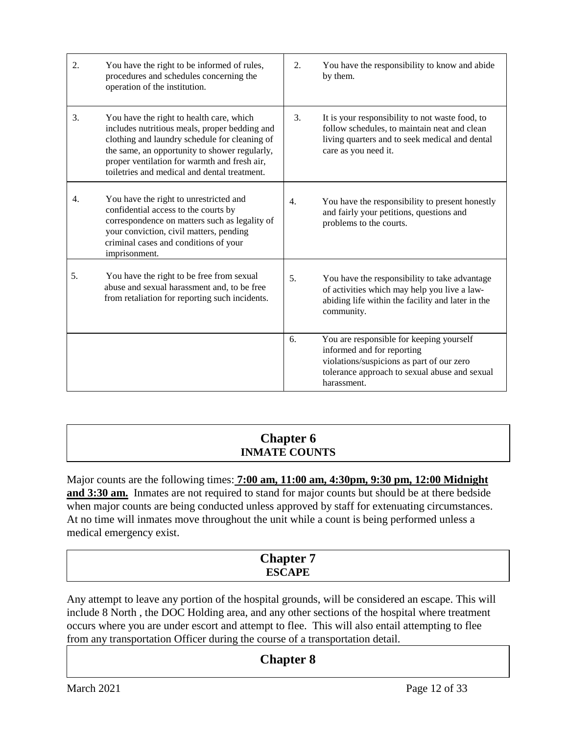| 2. | You have the right to be informed of rules,<br>procedures and schedules concerning the<br>operation of the institution.                                                                                                                                                                     | 2. | You have the responsibility to know and abide<br>by them.                                                                                                                           |
|----|---------------------------------------------------------------------------------------------------------------------------------------------------------------------------------------------------------------------------------------------------------------------------------------------|----|-------------------------------------------------------------------------------------------------------------------------------------------------------------------------------------|
| 3. | You have the right to health care, which<br>includes nutritious meals, proper bedding and<br>clothing and laundry schedule for cleaning of<br>the same, an opportunity to shower regularly,<br>proper ventilation for warmth and fresh air,<br>toiletries and medical and dental treatment. | 3. | It is your responsibility to not waste food, to<br>follow schedules, to maintain neat and clean<br>living quarters and to seek medical and dental<br>care as you need it.           |
| 4. | You have the right to unrestricted and<br>confidential access to the courts by<br>correspondence on matters such as legality of<br>your conviction, civil matters, pending<br>criminal cases and conditions of your<br>imprisonment.                                                        | 4. | You have the responsibility to present honestly<br>and fairly your petitions, questions and<br>problems to the courts.                                                              |
| 5. | You have the right to be free from sexual<br>abuse and sexual harassment and, to be free<br>from retaliation for reporting such incidents.                                                                                                                                                  | 5. | You have the responsibility to take advantage<br>of activities which may help you live a law-<br>abiding life within the facility and later in the<br>community.                    |
|    |                                                                                                                                                                                                                                                                                             | 6. | You are responsible for keeping yourself<br>informed and for reporting<br>violations/suspicions as part of our zero<br>tolerance approach to sexual abuse and sexual<br>harassment. |

# **Chapter 6 INMATE COUNTS**

Major counts are the following times: **7:00 am, 11:00 am, 4:30pm, 9:30 pm, 12:00 Midnight and 3:30 am.** Inmates are not required to stand for major counts but should be at there bedside when major counts are being conducted unless approved by staff for extenuating circumstances. At no time will inmates move throughout the unit while a count is being performed unless a medical emergency exist.

# **Chapter 7 ESCAPE**

Any attempt to leave any portion of the hospital grounds, will be considered an escape. This will include 8 North , the DOC Holding area, and any other sections of the hospital where treatment occurs where you are under escort and attempt to flee. This will also entail attempting to flee from any transportation Officer during the course of a transportation detail.

# **Chapter 8**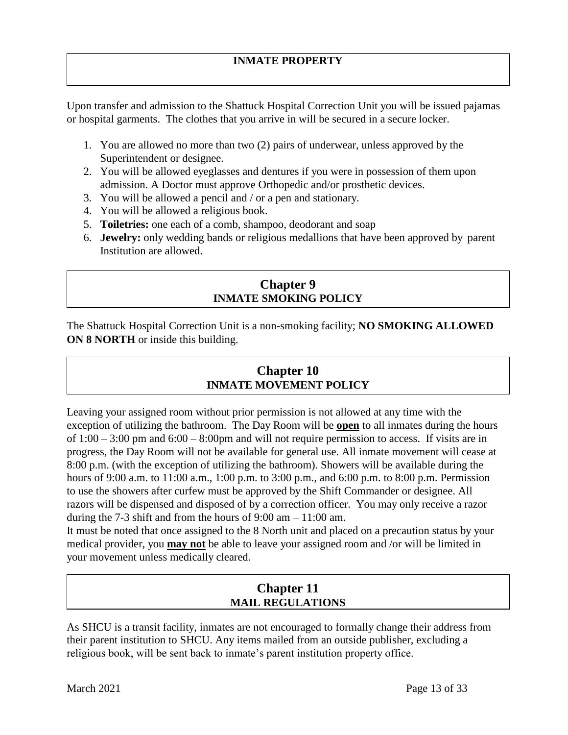# **INMATE PROPERTY**

Upon transfer and admission to the Shattuck Hospital Correction Unit you will be issued pajamas or hospital garments. The clothes that you arrive in will be secured in a secure locker.

- 1. You are allowed no more than two (2) pairs of underwear, unless approved by the Superintendent or designee.
- 2. You will be allowed eyeglasses and dentures if you were in possession of them upon admission. A Doctor must approve Orthopedic and/or prosthetic devices.
- 3. You will be allowed a pencil and / or a pen and stationary.
- 4. You will be allowed a religious book.
- 5. **Toiletries:** one each of a comb, shampoo, deodorant and soap
- 6. **Jewelry:** only wedding bands or religious medallions that have been approved by parent Institution are allowed.

# **Chapter 9 INMATE SMOKING POLICY**

The Shattuck Hospital Correction Unit is a non-smoking facility; **NO SMOKING ALLOWED ON 8 NORTH** or inside this building.

# **Chapter 10 INMATE MOVEMENT POLICY**

Leaving your assigned room without prior permission is not allowed at any time with the exception of utilizing the bathroom. The Day Room will be **open** to all inmates during the hours of  $1:00 - 3:00$  pm and  $6:00 - 8:00$  pm and will not require permission to access. If visits are in progress, the Day Room will not be available for general use. All inmate movement will cease at 8:00 p.m. (with the exception of utilizing the bathroom). Showers will be available during the hours of 9:00 a.m. to 11:00 a.m., 1:00 p.m. to 3:00 p.m., and 6:00 p.m. to 8:00 p.m. Permission to use the showers after curfew must be approved by the Shift Commander or designee. All razors will be dispensed and disposed of by a correction officer. You may only receive a razor during the 7-3 shift and from the hours of  $9:00 \text{ am} - 11:00 \text{ am}$ .

It must be noted that once assigned to the 8 North unit and placed on a precaution status by your medical provider, you **may not** be able to leave your assigned room and /or will be limited in your movement unless medically cleared.

# **Chapter 11 MAIL REGULATIONS**

As SHCU is a transit facility, inmates are not encouraged to formally change their address from their parent institution to SHCU. Any items mailed from an outside publisher, excluding a religious book, will be sent back to inmate's parent institution property office.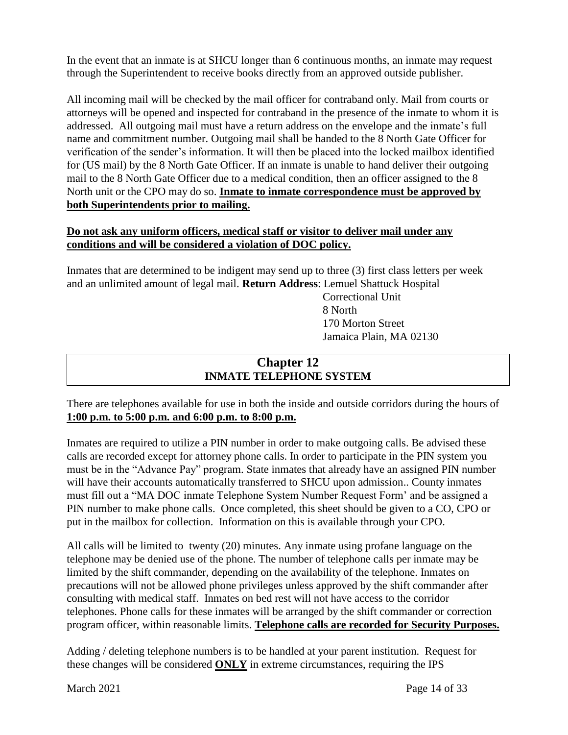In the event that an inmate is at SHCU longer than 6 continuous months, an inmate may request through the Superintendent to receive books directly from an approved outside publisher.

All incoming mail will be checked by the mail officer for contraband only. Mail from courts or attorneys will be opened and inspected for contraband in the presence of the inmate to whom it is addressed. All outgoing mail must have a return address on the envelope and the inmate's full name and commitment number. Outgoing mail shall be handed to the 8 North Gate Officer for verification of the sender's information. It will then be placed into the locked mailbox identified for (US mail) by the 8 North Gate Officer. If an inmate is unable to hand deliver their outgoing mail to the 8 North Gate Officer due to a medical condition, then an officer assigned to the 8 North unit or the CPO may do so. **Inmate to inmate correspondence must be approved by both Superintendents prior to mailing.**

### **Do not ask any uniform officers, medical staff or visitor to deliver mail under any conditions and will be considered a violation of DOC policy.**

Inmates that are determined to be indigent may send up to three (3) first class letters per week and an unlimited amount of legal mail. **Return Address**: Lemuel Shattuck Hospital

 Correctional Unit 8 North 170 Morton Street Jamaica Plain, MA 02130

# **Chapter 12 INMATE TELEPHONE SYSTEM**

There are telephones available for use in both the inside and outside corridors during the hours of **1:00 p.m. to 5:00 p.m. and 6:00 p.m. to 8:00 p.m.**

Inmates are required to utilize a PIN number in order to make outgoing calls. Be advised these calls are recorded except for attorney phone calls. In order to participate in the PIN system you must be in the "Advance Pay" program. State inmates that already have an assigned PIN number will have their accounts automatically transferred to SHCU upon admission.. County inmates must fill out a "MA DOC inmate Telephone System Number Request Form' and be assigned a PIN number to make phone calls. Once completed, this sheet should be given to a CO, CPO or put in the mailbox for collection. Information on this is available through your CPO.

All calls will be limited to twenty (20) minutes. Any inmate using profane language on the telephone may be denied use of the phone. The number of telephone calls per inmate may be limited by the shift commander, depending on the availability of the telephone. Inmates on precautions will not be allowed phone privileges unless approved by the shift commander after consulting with medical staff. Inmates on bed rest will not have access to the corridor telephones. Phone calls for these inmates will be arranged by the shift commander or correction program officer, within reasonable limits. **Telephone calls are recorded for Security Purposes.** 

Adding / deleting telephone numbers is to be handled at your parent institution. Request for these changes will be considered **ONLY** in extreme circumstances, requiring the IPS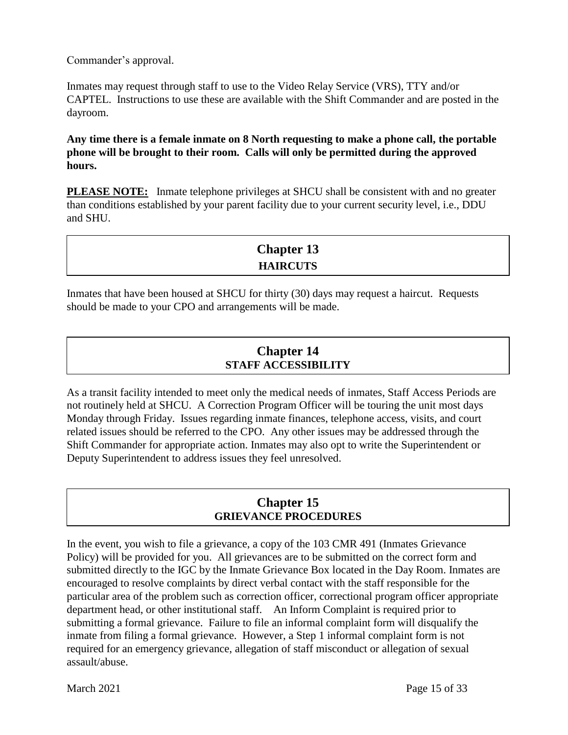Commander's approval.

Inmates may request through staff to use to the Video Relay Service (VRS), TTY and/or CAPTEL. Instructions to use these are available with the Shift Commander and are posted in the dayroom.

**Any time there is a female inmate on 8 North requesting to make a phone call, the portable phone will be brought to their room. Calls will only be permitted during the approved hours.**

**PLEASE NOTE:** Inmate telephone privileges at SHCU shall be consistent with and no greater than conditions established by your parent facility due to your current security level, i.e., DDU and SHU.

| <b>Chapter 13</b> |  |
|-------------------|--|
| <b>HAIRCUTS</b>   |  |

Inmates that have been housed at SHCU for thirty (30) days may request a haircut. Requests should be made to your CPO and arrangements will be made.

# **Chapter 14 STAFF ACCESSIBILITY**

As a transit facility intended to meet only the medical needs of inmates, Staff Access Periods are not routinely held at SHCU. A Correction Program Officer will be touring the unit most days Monday through Friday. Issues regarding inmate finances, telephone access, visits, and court related issues should be referred to the CPO. Any other issues may be addressed through the Shift Commander for appropriate action. Inmates may also opt to write the Superintendent or Deputy Superintendent to address issues they feel unresolved.

# **Chapter 15 GRIEVANCE PROCEDURES**

In the event, you wish to file a grievance, a copy of the 103 CMR 491 (Inmates Grievance Policy) will be provided for you. All grievances are to be submitted on the correct form and submitted directly to the IGC by the Inmate Grievance Box located in the Day Room. Inmates are encouraged to resolve complaints by direct verbal contact with the staff responsible for the particular area of the problem such as correction officer, correctional program officer appropriate department head, or other institutional staff. An Inform Complaint is required prior to submitting a formal grievance. Failure to file an informal complaint form will disqualify the inmate from filing a formal grievance. However, a Step 1 informal complaint form is not required for an emergency grievance, allegation of staff misconduct or allegation of sexual assault/abuse.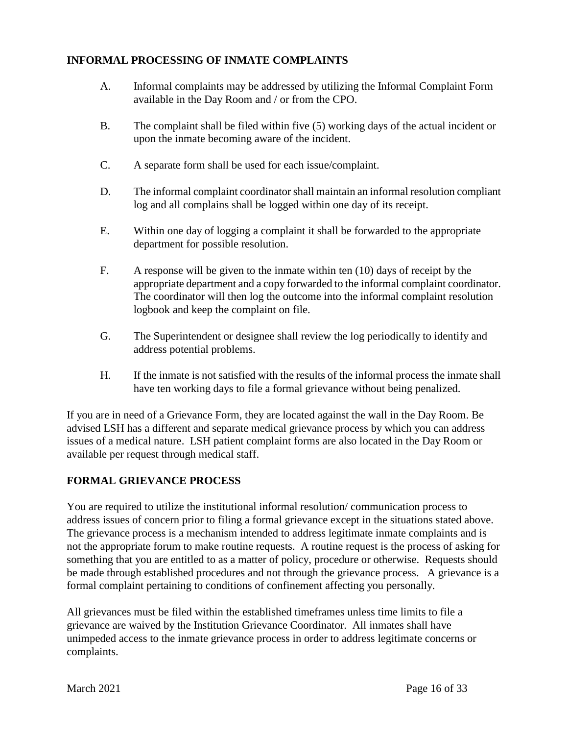### **INFORMAL PROCESSING OF INMATE COMPLAINTS**

- A. Informal complaints may be addressed by utilizing the Informal Complaint Form available in the Day Room and / or from the CPO.
- B. The complaint shall be filed within five (5) working days of the actual incident or upon the inmate becoming aware of the incident.
- C. A separate form shall be used for each issue/complaint.
- D. The informal complaint coordinator shall maintain an informal resolution compliant log and all complains shall be logged within one day of its receipt.
- E. Within one day of logging a complaint it shall be forwarded to the appropriate department for possible resolution.
- F. A response will be given to the inmate within ten (10) days of receipt by the appropriate department and a copy forwarded to the informal complaint coordinator. The coordinator will then log the outcome into the informal complaint resolution logbook and keep the complaint on file.
- G. The Superintendent or designee shall review the log periodically to identify and address potential problems.
- H. If the inmate is not satisfied with the results of the informal process the inmate shall have ten working days to file a formal grievance without being penalized.

If you are in need of a Grievance Form, they are located against the wall in the Day Room. Be advised LSH has a different and separate medical grievance process by which you can address issues of a medical nature. LSH patient complaint forms are also located in the Day Room or available per request through medical staff.

# **FORMAL GRIEVANCE PROCESS**

You are required to utilize the institutional informal resolution/ communication process to address issues of concern prior to filing a formal grievance except in the situations stated above. The grievance process is a mechanism intended to address legitimate inmate complaints and is not the appropriate forum to make routine requests. A routine request is the process of asking for something that you are entitled to as a matter of policy, procedure or otherwise. Requests should be made through established procedures and not through the grievance process. A grievance is a formal complaint pertaining to conditions of confinement affecting you personally.

All grievances must be filed within the established timeframes unless time limits to file a grievance are waived by the Institution Grievance Coordinator. All inmates shall have unimpeded access to the inmate grievance process in order to address legitimate concerns or complaints.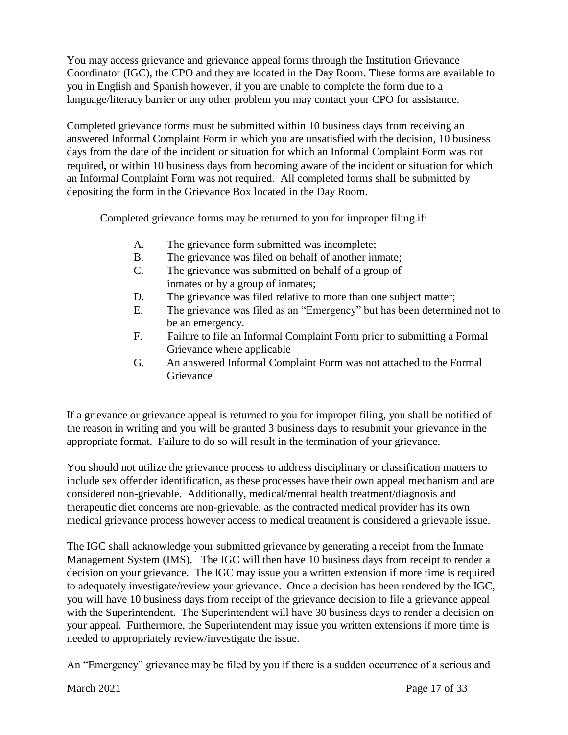You may access grievance and grievance appeal forms through the Institution Grievance Coordinator (IGC), the CPO and they are located in the Day Room. These forms are available to you in English and Spanish however, if you are unable to complete the form due to a language/literacy barrier or any other problem you may contact your CPO for assistance.

Completed grievance forms must be submitted within 10 business days from receiving an answered Informal Complaint Form in which you are unsatisfied with the decision, 10 business days from the date of the incident or situation for which an Informal Complaint Form was not required**,** or within 10 business days from becoming aware of the incident or situation for which an Informal Complaint Form was not required. All completed forms shall be submitted by depositing the form in the Grievance Box located in the Day Room.

### Completed grievance forms may be returned to you for improper filing if:

- A. The grievance form submitted was incomplete;
- B. The grievance was filed on behalf of another inmate;
- C. The grievance was submitted on behalf of a group of inmates or by a group of inmates;
- D. The grievance was filed relative to more than one subject matter;
- E. The grievance was filed as an "Emergency" but has been determined not to be an emergency.
- F. Failure to file an Informal Complaint Form prior to submitting a Formal Grievance where applicable
- G. An answered Informal Complaint Form was not attached to the Formal Grievance

If a grievance or grievance appeal is returned to you for improper filing, you shall be notified of the reason in writing and you will be granted 3 business days to resubmit your grievance in the appropriate format. Failure to do so will result in the termination of your grievance.

You should not utilize the grievance process to address disciplinary or classification matters to include sex offender identification, as these processes have their own appeal mechanism and are considered non-grievable. Additionally, medical/mental health treatment/diagnosis and therapeutic diet concerns are non-grievable, as the contracted medical provider has its own medical grievance process however access to medical treatment is considered a grievable issue.

The IGC shall acknowledge your submitted grievance by generating a receipt from the Inmate Management System (IMS). The IGC will then have 10 business days from receipt to render a decision on your grievance. The IGC may issue you a written extension if more time is required to adequately investigate/review your grievance. Once a decision has been rendered by the IGC, you will have 10 business days from receipt of the grievance decision to file a grievance appeal with the Superintendent. The Superintendent will have 30 business days to render a decision on your appeal. Furthermore, the Superintendent may issue you written extensions if more time is needed to appropriately review/investigate the issue.

An "Emergency" grievance may be filed by you if there is a sudden occurrence of a serious and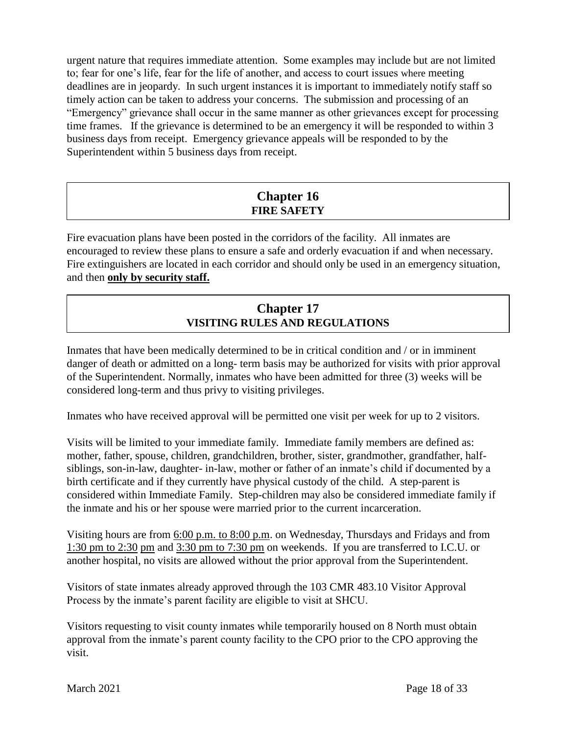urgent nature that requires immediate attention. Some examples may include but are not limited to; fear for one's life, fear for the life of another, and access to court issues where meeting deadlines are in jeopardy. In such urgent instances it is important to immediately notify staff so timely action can be taken to address your concerns. The submission and processing of an "Emergency" grievance shall occur in the same manner as other grievances except for processing time frames. If the grievance is determined to be an emergency it will be responded to within 3 business days from receipt. Emergency grievance appeals will be responded to by the Superintendent within 5 business days from receipt.

# **Chapter 16 FIRE SAFETY**

Fire evacuation plans have been posted in the corridors of the facility. All inmates are encouraged to review these plans to ensure a safe and orderly evacuation if and when necessary. Fire extinguishers are located in each corridor and should only be used in an emergency situation, and then **only by security staff.**

# **Chapter 17 VISITING RULES AND REGULATIONS**

Inmates that have been medically determined to be in critical condition and / or in imminent danger of death or admitted on a long- term basis may be authorized for visits with prior approval of the Superintendent. Normally, inmates who have been admitted for three (3) weeks will be considered long-term and thus privy to visiting privileges.

Inmates who have received approval will be permitted one visit per week for up to 2 visitors.

Visits will be limited to your immediate family. Immediate family members are defined as: mother, father, spouse, children, grandchildren, brother, sister, grandmother, grandfather, halfsiblings, son-in-law, daughter- in-law, mother or father of an inmate's child if documented by a birth certificate and if they currently have physical custody of the child. A step-parent is considered within Immediate Family. Step-children may also be considered immediate family if the inmate and his or her spouse were married prior to the current incarceration.

Visiting hours are from 6:00 p.m. to 8:00 p.m. on Wednesday, Thursdays and Fridays and from 1:30 pm to 2:30 pm and 3:30 pm to 7:30 pm on weekends. If you are transferred to I.C.U. or another hospital, no visits are allowed without the prior approval from the Superintendent.

Visitors of state inmates already approved through the 103 CMR 483.10 Visitor Approval Process by the inmate's parent facility are eligible to visit at SHCU.

Visitors requesting to visit county inmates while temporarily housed on 8 North must obtain approval from the inmate's parent county facility to the CPO prior to the CPO approving the visit.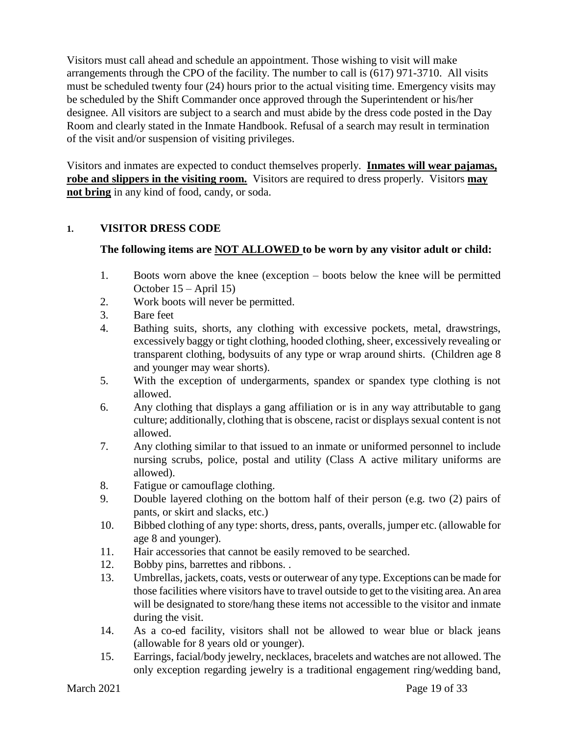Visitors must call ahead and schedule an appointment. Those wishing to visit will make arrangements through the CPO of the facility. The number to call is (617) 971-3710. All visits must be scheduled twenty four (24) hours prior to the actual visiting time. Emergency visits may be scheduled by the Shift Commander once approved through the Superintendent or his/her designee. All visitors are subject to a search and must abide by the dress code posted in the Day Room and clearly stated in the Inmate Handbook. Refusal of a search may result in termination of the visit and/or suspension of visiting privileges.

Visitors and inmates are expected to conduct themselves properly. **Inmates will wear pajamas, robe and slippers in the visiting room.** Visitors are required to dress properly. Visitors **may not bring** in any kind of food, candy, or soda.

#### **1. VISITOR DRESS CODE**

### **The following items are NOT ALLOWED to be worn by any visitor adult or child:**

- 1. Boots worn above the knee (exception boots below the knee will be permitted October 15 – April 15)
- 2. Work boots will never be permitted.
- 3. Bare feet
- 4. Bathing suits, shorts, any clothing with excessive pockets, metal, drawstrings, excessively baggy or tight clothing, hooded clothing, sheer, excessively revealing or transparent clothing, bodysuits of any type or wrap around shirts. (Children age 8 and younger may wear shorts).
- 5. With the exception of undergarments, spandex or spandex type clothing is not allowed.
- 6. Any clothing that displays a gang affiliation or is in any way attributable to gang culture; additionally, clothing that is obscene, racist or displays sexual content is not allowed.
- 7. Any clothing similar to that issued to an inmate or uniformed personnel to include nursing scrubs, police, postal and utility (Class A active military uniforms are allowed).
- 8. Fatigue or camouflage clothing.
- 9. Double layered clothing on the bottom half of their person (e.g. two (2) pairs of pants, or skirt and slacks, etc.)
- 10. Bibbed clothing of any type: shorts, dress, pants, overalls, jumper etc. (allowable for age 8 and younger).
- 11. Hair accessories that cannot be easily removed to be searched.
- 12. Bobby pins, barrettes and ribbons. .
- 13. Umbrellas, jackets, coats, vests or outerwear of any type. Exceptions can be made for those facilities where visitors have to travel outside to get to the visiting area. An area will be designated to store/hang these items not accessible to the visitor and inmate during the visit.
- 14. As a co-ed facility, visitors shall not be allowed to wear blue or black jeans (allowable for 8 years old or younger).
- 15. Earrings, facial/body jewelry, necklaces, bracelets and watches are not allowed. The only exception regarding jewelry is a traditional engagement ring/wedding band,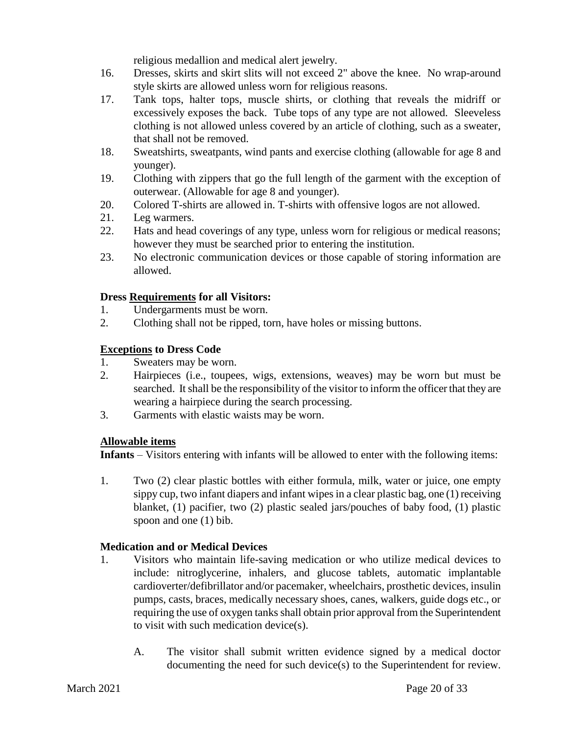religious medallion and medical alert jewelry.

- 16. Dresses, skirts and skirt slits will not exceed 2" above the knee. No wrap-around style skirts are allowed unless worn for religious reasons.
- 17. Tank tops, halter tops, muscle shirts, or clothing that reveals the midriff or excessively exposes the back. Tube tops of any type are not allowed. Sleeveless clothing is not allowed unless covered by an article of clothing, such as a sweater, that shall not be removed.
- 18. Sweatshirts, sweatpants, wind pants and exercise clothing (allowable for age 8 and younger).
- 19. Clothing with zippers that go the full length of the garment with the exception of outerwear. (Allowable for age 8 and younger).
- 20. Colored T-shirts are allowed in. T-shirts with offensive logos are not allowed.
- 21. Leg warmers.
- 22. Hats and head coverings of any type, unless worn for religious or medical reasons; however they must be searched prior to entering the institution.
- 23. No electronic communication devices or those capable of storing information are allowed.

#### **Dress Requirements for all Visitors:**

- 1. Undergarments must be worn.
- 2. Clothing shall not be ripped, torn, have holes or missing buttons.

# **Exceptions to Dress Code**

- 1. Sweaters may be worn.
- 2. Hairpieces (i.e., toupees, wigs, extensions, weaves) may be worn but must be searched. It shall be the responsibility of the visitor to inform the officer that they are wearing a hairpiece during the search processing.
- 3. Garments with elastic waists may be worn.

# **Allowable items**

**Infants** – Visitors entering with infants will be allowed to enter with the following items:

1. Two (2) clear plastic bottles with either formula, milk, water or juice, one empty sippy cup, two infant diapers and infant wipes in a clear plastic bag, one (1) receiving blanket, (1) pacifier, two (2) plastic sealed jars/pouches of baby food, (1) plastic spoon and one (1) bib.

# **Medication and or Medical Devices**

- 1. Visitors who maintain life-saving medication or who utilize medical devices to include: nitroglycerine, inhalers, and glucose tablets, automatic implantable cardioverter/defibrillator and/or pacemaker, wheelchairs, prosthetic devices, insulin pumps, casts, braces, medically necessary shoes, canes, walkers, guide dogs etc., or requiring the use of oxygen tanks shall obtain prior approval from the Superintendent to visit with such medication device(s).
	- A. The visitor shall submit written evidence signed by a medical doctor documenting the need for such device(s) to the Superintendent for review.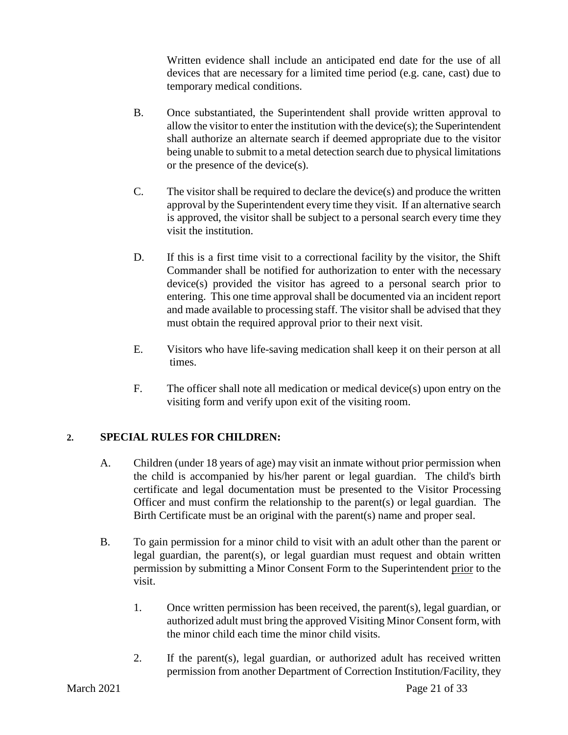Written evidence shall include an anticipated end date for the use of all devices that are necessary for a limited time period (e.g. cane, cast) due to temporary medical conditions.

- B. Once substantiated, the Superintendent shall provide written approval to allow the visitor to enter the institution with the device(s); the Superintendent shall authorize an alternate search if deemed appropriate due to the visitor being unable to submit to a metal detection search due to physical limitations or the presence of the device(s).
- C. The visitor shall be required to declare the device(s) and produce the written approval by the Superintendent every time they visit. If an alternative search is approved, the visitor shall be subject to a personal search every time they visit the institution.
- D. If this is a first time visit to a correctional facility by the visitor, the Shift Commander shall be notified for authorization to enter with the necessary device(s) provided the visitor has agreed to a personal search prior to entering. This one time approval shall be documented via an incident report and made available to processing staff. The visitor shall be advised that they must obtain the required approval prior to their next visit.
- E. Visitors who have life-saving medication shall keep it on their person at all times.
- F. The officer shall note all medication or medical device(s) upon entry on the visiting form and verify upon exit of the visiting room.

# **2. SPECIAL RULES FOR CHILDREN:**

- A. Children (under 18 years of age) may visit an inmate without prior permission when the child is accompanied by his/her parent or legal guardian. The child's birth certificate and legal documentation must be presented to the Visitor Processing Officer and must confirm the relationship to the parent(s) or legal guardian. The Birth Certificate must be an original with the parent(s) name and proper seal.
- B. To gain permission for a minor child to visit with an adult other than the parent or legal guardian, the parent(s), or legal guardian must request and obtain written permission by submitting a Minor Consent Form to the Superintendent prior to the visit.
	- 1. Once written permission has been received, the parent(s), legal guardian, or authorized adult must bring the approved Visiting Minor Consent form, with the minor child each time the minor child visits.
	- 2. If the parent(s), legal guardian, or authorized adult has received written permission from another Department of Correction Institution/Facility, they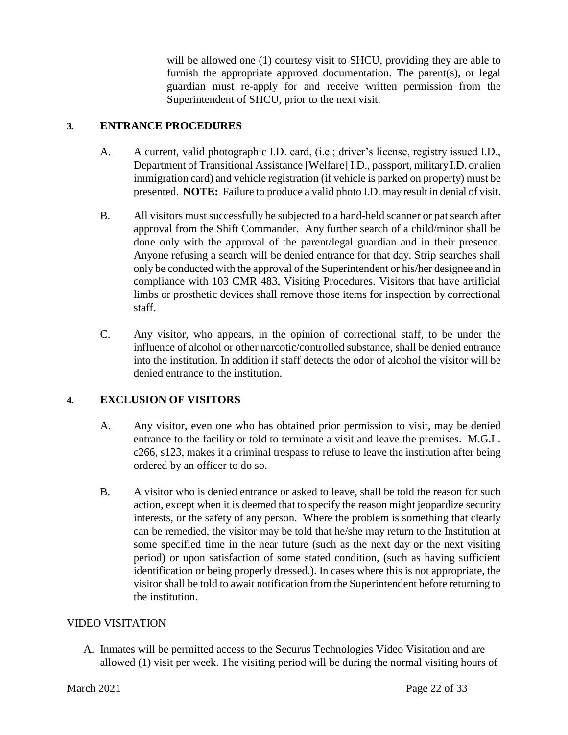will be allowed one (1) courtesy visit to SHCU, providing they are able to furnish the appropriate approved documentation. The parent(s), or legal guardian must re-apply for and receive written permission from the Superintendent of SHCU, prior to the next visit.

#### **3. ENTRANCE PROCEDURES**

- A. A current, valid photographic I.D. card, (i.e.; driver's license, registry issued I.D., Department of Transitional Assistance [Welfare] I.D., passport, military I.D. or alien immigration card) and vehicle registration (if vehicle is parked on property) must be presented. **NOTE:** Failure to produce a valid photo I.D. may result in denial of visit.
- B. All visitors must successfully be subjected to a hand-held scanner or pat search after approval from the Shift Commander. Any further search of a child/minor shall be done only with the approval of the parent/legal guardian and in their presence. Anyone refusing a search will be denied entrance for that day. Strip searches shall only be conducted with the approval of the Superintendent or his/her designee and in compliance with 103 CMR 483, Visiting Procedures. Visitors that have artificial limbs or prosthetic devices shall remove those items for inspection by correctional staff.
- C. Any visitor, who appears, in the opinion of correctional staff, to be under the influence of alcohol or other narcotic/controlled substance, shall be denied entrance into the institution. In addition if staff detects the odor of alcohol the visitor will be denied entrance to the institution.

# **4. EXCLUSION OF VISITORS**

- A. Any visitor, even one who has obtained prior permission to visit, may be denied entrance to the facility or told to terminate a visit and leave the premises. M.G.L. c266, s123, makes it a criminal trespass to refuse to leave the institution after being ordered by an officer to do so.
- B. A visitor who is denied entrance or asked to leave, shall be told the reason for such action, except when it is deemed that to specify the reason might jeopardize security interests, or the safety of any person. Where the problem is something that clearly can be remedied, the visitor may be told that he/she may return to the Institution at some specified time in the near future (such as the next day or the next visiting period) or upon satisfaction of some stated condition, (such as having sufficient identification or being properly dressed.). In cases where this is not appropriate, the visitor shall be told to await notification from the Superintendent before returning to the institution.

#### VIDEO VISITATION

A. Inmates will be permitted access to the Securus Technologies Video Visitation and are allowed (1) visit per week. The visiting period will be during the normal visiting hours of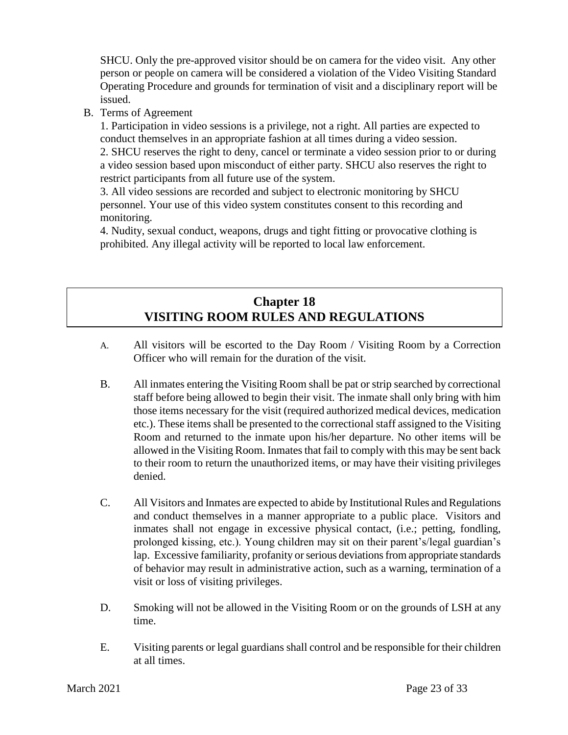SHCU. Only the pre-approved visitor should be on camera for the video visit. Any other person or people on camera will be considered a violation of the Video Visiting Standard Operating Procedure and grounds for termination of visit and a disciplinary report will be issued.

B. Terms of Agreement

 1. Participation in video sessions is a privilege, not a right. All parties are expected to conduct themselves in an appropriate fashion at all times during a video session.

2. SHCU reserves the right to deny, cancel or terminate a video session prior to or during a video session based upon misconduct of either party. SHCU also reserves the right to restrict participants from all future use of the system.

3. All video sessions are recorded and subject to electronic monitoring by SHCU personnel. Your use of this video system constitutes consent to this recording and monitoring.

4. Nudity, sexual conduct, weapons, drugs and tight fitting or provocative clothing is prohibited. Any illegal activity will be reported to local law enforcement.

# **Chapter 18 VISITING ROOM RULES AND REGULATIONS**

- A. All visitors will be escorted to the Day Room / Visiting Room by a Correction Officer who will remain for the duration of the visit.
- B. All inmates entering the Visiting Room shall be pat or strip searched by correctional staff before being allowed to begin their visit. The inmate shall only bring with him those items necessary for the visit (required authorized medical devices, medication etc.). These items shall be presented to the correctional staff assigned to the Visiting Room and returned to the inmate upon his/her departure. No other items will be allowed in the Visiting Room. Inmates that fail to comply with this may be sent back to their room to return the unauthorized items, or may have their visiting privileges denied.
- C. All Visitors and Inmates are expected to abide by Institutional Rules and Regulations and conduct themselves in a manner appropriate to a public place. Visitors and inmates shall not engage in excessive physical contact, (i.e.; petting, fondling, prolonged kissing, etc.). Young children may sit on their parent's/legal guardian's lap. Excessive familiarity, profanity or serious deviations from appropriate standards of behavior may result in administrative action, such as a warning, termination of a visit or loss of visiting privileges.
- D. Smoking will not be allowed in the Visiting Room or on the grounds of LSH at any time.
- E. Visiting parents or legal guardians shall control and be responsible for their children at all times.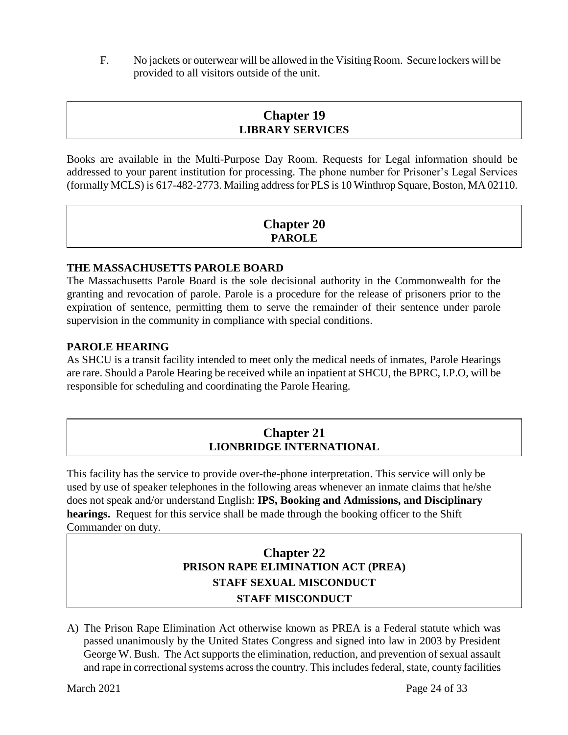F. No jackets or outerwear will be allowed in the Visiting Room. Secure lockers will be provided to all visitors outside of the unit.

# **Chapter 19 LIBRARY SERVICES**

Books are available in the Multi-Purpose Day Room. Requests for Legal information should be addressed to your parent institution for processing. The phone number for Prisoner's Legal Services (formally MCLS) is 617-482-2773. Mailing address for PLS is 10 Winthrop Square, Boston, MA 02110.

# **Chapter 20 PAROLE**

### **THE MASSACHUSETTS PAROLE BOARD**

The Massachusetts Parole Board is the sole decisional authority in the Commonwealth for the granting and revocation of parole. Parole is a procedure for the release of prisoners prior to the expiration of sentence, permitting them to serve the remainder of their sentence under parole supervision in the community in compliance with special conditions.

#### **PAROLE HEARING**

As SHCU is a transit facility intended to meet only the medical needs of inmates, Parole Hearings are rare. Should a Parole Hearing be received while an inpatient at SHCU, the BPRC, I.P.O, will be responsible for scheduling and coordinating the Parole Hearing.

# **Chapter 21 LIONBRIDGE INTERNATIONAL**

This facility has the service to provide over-the-phone interpretation. This service will only be used by use of speaker telephones in the following areas whenever an inmate claims that he/she does not speak and/or understand English: **IPS, Booking and Admissions, and Disciplinary hearings.** Request for this service shall be made through the booking officer to the Shift Commander on duty.

# **Chapter 22 PRISON RAPE ELIMINATION ACT (PREA) STAFF SEXUAL MISCONDUCT STAFF MISCONDUCT**

A) The Prison Rape Elimination Act otherwise known as PREA is a Federal statute which was passed unanimously by the United States Congress and signed into law in 2003 by President George W. Bush. The Act supports the elimination, reduction, and prevention of sexual assault and rape in correctional systems across the country. This includes federal, state, county facilities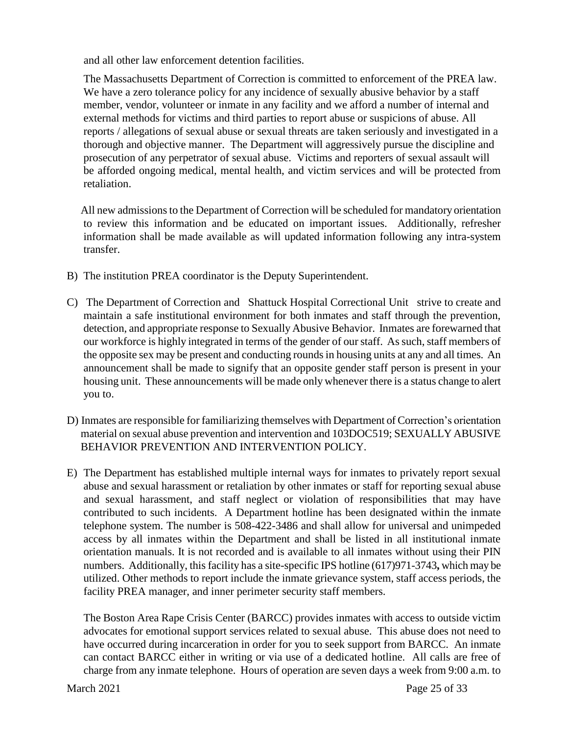and all other law enforcement detention facilities.

 The Massachusetts Department of Correction is committed to enforcement of the PREA law. We have a zero tolerance policy for any incidence of sexually abusive behavior by a staff member, vendor, volunteer or inmate in any facility and we afford a number of internal and external methods for victims and third parties to report abuse or suspicions of abuse. All reports / allegations of sexual abuse or sexual threats are taken seriously and investigated in a thorough and objective manner. The Department will aggressively pursue the discipline and prosecution of any perpetrator of sexual abuse. Victims and reporters of sexual assault will be afforded ongoing medical, mental health, and victim services and will be protected from retaliation.

 All new admissions to the Department of Correction will be scheduled for mandatory orientation to review this information and be educated on important issues. Additionally, refresher information shall be made available as will updated information following any intra-system transfer.

- B) The institution PREA coordinator is the Deputy Superintendent.
- C) The Department of Correction and Shattuck Hospital Correctional Unit strive to create and maintain a safe institutional environment for both inmates and staff through the prevention, detection, and appropriate response to Sexually Abusive Behavior. Inmates are forewarned that our workforce is highly integrated in terms of the gender of our staff. As such, staff members of the opposite sex may be present and conducting rounds in housing units at any and all times. An announcement shall be made to signify that an opposite gender staff person is present in your housing unit. These announcements will be made only whenever there is a status change to alert you to.
- D) Inmates are responsible for familiarizing themselves with Department of Correction's orientation material on sexual abuse prevention and intervention and 103DOC519; SEXUALLY ABUSIVE BEHAVIOR PREVENTION AND INTERVENTION POLICY.
- E) The Department has established multiple internal ways for inmates to privately report sexual abuse and sexual harassment or retaliation by other inmates or staff for reporting sexual abuse and sexual harassment, and staff neglect or violation of responsibilities that may have contributed to such incidents. A Department hotline has been designated within the inmate telephone system. The number is 508-422-3486 and shall allow for universal and unimpeded access by all inmates within the Department and shall be listed in all institutional inmate orientation manuals. It is not recorded and is available to all inmates without using their PIN numbers. Additionally, this facility has a site-specific IPS hotline (617)971-3743**,** which may be utilized. Other methods to report include the inmate grievance system, staff access periods, the facility PREA manager, and inner perimeter security staff members.

The Boston Area Rape Crisis Center (BARCC) provides inmates with access to outside victim advocates for emotional support services related to sexual abuse. This abuse does not need to have occurred during incarceration in order for you to seek support from BARCC. An inmate can contact BARCC either in writing or via use of a dedicated hotline. All calls are free of charge from any inmate telephone. Hours of operation are seven days a week from 9:00 a.m. to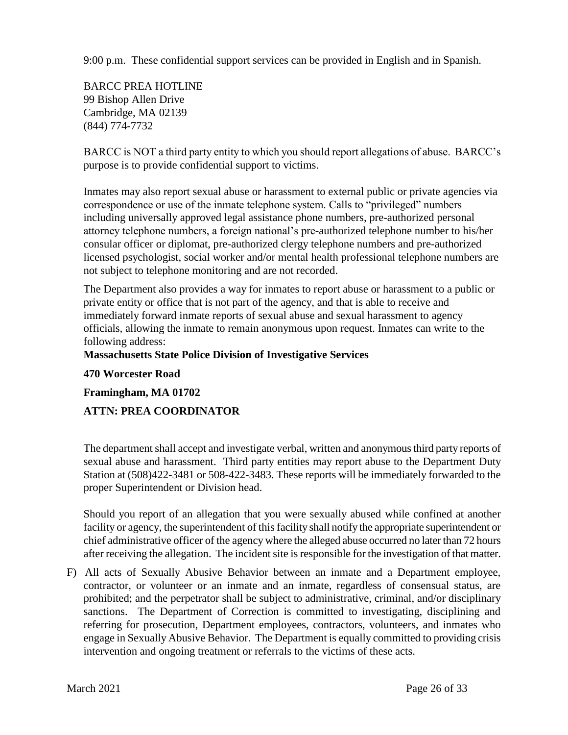9:00 p.m. These confidential support services can be provided in English and in Spanish.

BARCC PREA HOTLINE 99 Bishop Allen Drive Cambridge, MA 02139 (844) 774-7732

BARCC is NOT a third party entity to which you should report allegations of abuse. BARCC's purpose is to provide confidential support to victims.

Inmates may also report sexual abuse or harassment to external public or private agencies via correspondence or use of the inmate telephone system. Calls to "privileged" numbers including universally approved legal assistance phone numbers, pre-authorized personal attorney telephone numbers, a foreign national's pre-authorized telephone number to his/her consular officer or diplomat, pre-authorized clergy telephone numbers and pre-authorized licensed psychologist, social worker and/or mental health professional telephone numbers are not subject to telephone monitoring and are not recorded.

The Department also provides a way for inmates to report abuse or harassment to a public or private entity or office that is not part of the agency, and that is able to receive and immediately forward inmate reports of sexual abuse and sexual harassment to agency officials, allowing the inmate to remain anonymous upon request. Inmates can write to the following address:

#### **Massachusetts State Police Division of Investigative Services**

**470 Worcester Road**

**Framingham, MA 01702**

# **ATTN: PREA COORDINATOR**

The department shall accept and investigate verbal, written and anonymous third party reports of sexual abuse and harassment. Third party entities may report abuse to the Department Duty Station at (508)422-3481 or 508-422-3483. These reports will be immediately forwarded to the proper Superintendent or Division head.

Should you report of an allegation that you were sexually abused while confined at another facility or agency, the superintendent of this facility shall notify the appropriate superintendent or chief administrative officer of the agency where the alleged abuse occurred no later than 72 hours after receiving the allegation. The incident site is responsible for the investigation of that matter.

F) All acts of Sexually Abusive Behavior between an inmate and a Department employee, contractor, or volunteer or an inmate and an inmate, regardless of consensual status, are prohibited; and the perpetrator shall be subject to administrative, criminal, and/or disciplinary sanctions. The Department of Correction is committed to investigating, disciplining and referring for prosecution, Department employees, contractors, volunteers, and inmates who engage in Sexually Abusive Behavior. The Department is equally committed to providing crisis intervention and ongoing treatment or referrals to the victims of these acts.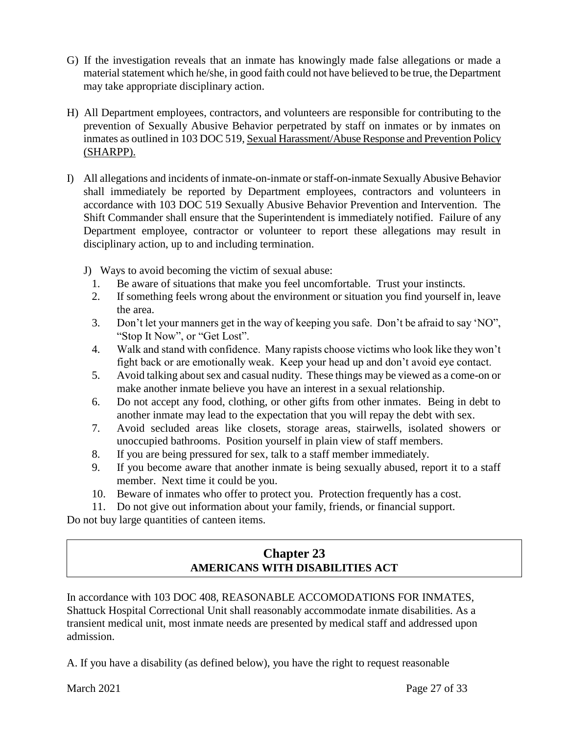- G) If the investigation reveals that an inmate has knowingly made false allegations or made a material statement which he/she, in good faith could not have believed to be true, the Department may take appropriate disciplinary action.
- H) All Department employees, contractors, and volunteers are responsible for contributing to the prevention of Sexually Abusive Behavior perpetrated by staff on inmates or by inmates on inmates as outlined in 103 DOC 519, Sexual Harassment/Abuse Response and Prevention Policy (SHARPP).
- I) All allegations and incidents of inmate-on-inmate or staff-on-inmate Sexually Abusive Behavior shall immediately be reported by Department employees, contractors and volunteers in accordance with 103 DOC 519 Sexually Abusive Behavior Prevention and Intervention. The Shift Commander shall ensure that the Superintendent is immediately notified. Failure of any Department employee, contractor or volunteer to report these allegations may result in disciplinary action, up to and including termination.
	- J) Ways to avoid becoming the victim of sexual abuse:
		- 1. Be aware of situations that make you feel uncomfortable. Trust your instincts.
		- 2. If something feels wrong about the environment or situation you find yourself in, leave the area.
		- 3. Don't let your manners get in the way of keeping you safe. Don't be afraid to say 'NO", "Stop It Now", or "Get Lost".
		- 4. Walk and stand with confidence. Many rapists choose victims who look like they won't fight back or are emotionally weak. Keep your head up and don't avoid eye contact.
		- 5. Avoid talking about sex and casual nudity. These things may be viewed as a come-on or make another inmate believe you have an interest in a sexual relationship.
		- 6. Do not accept any food, clothing, or other gifts from other inmates. Being in debt to another inmate may lead to the expectation that you will repay the debt with sex.
		- 7. Avoid secluded areas like closets, storage areas, stairwells, isolated showers or unoccupied bathrooms. Position yourself in plain view of staff members.
		- 8. If you are being pressured for sex, talk to a staff member immediately.
		- 9. If you become aware that another inmate is being sexually abused, report it to a staff member. Next time it could be you.
		- 10. Beware of inmates who offer to protect you. Protection frequently has a cost.
	- 11. Do not give out information about your family, friends, or financial support.

Do not buy large quantities of canteen items.

# **Chapter 23 AMERICANS WITH DISABILITIES ACT**

In accordance with 103 DOC 408, REASONABLE ACCOMODATIONS FOR INMATES, Shattuck Hospital Correctional Unit shall reasonably accommodate inmate disabilities. As a transient medical unit, most inmate needs are presented by medical staff and addressed upon admission.

A. If you have a disability (as defined below), you have the right to request reasonable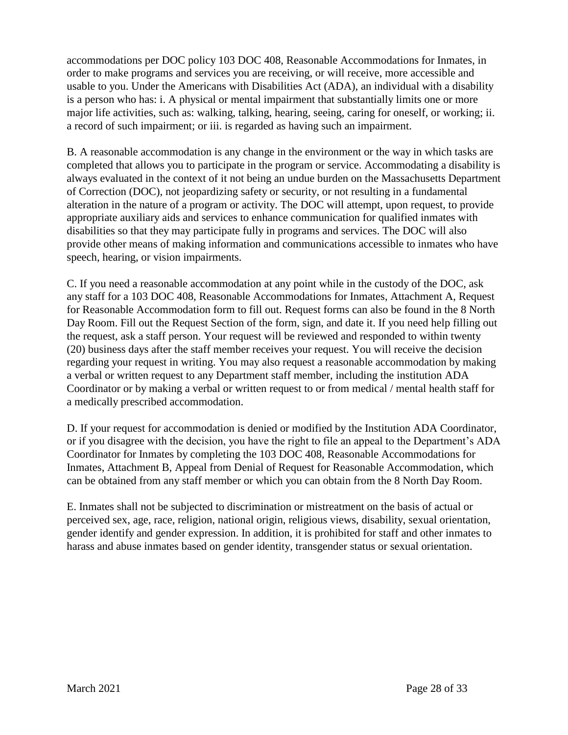accommodations per DOC policy 103 DOC 408, Reasonable Accommodations for Inmates, in order to make programs and services you are receiving, or will receive, more accessible and usable to you. Under the Americans with Disabilities Act (ADA), an individual with a disability is a person who has: i. A physical or mental impairment that substantially limits one or more major life activities, such as: walking, talking, hearing, seeing, caring for oneself, or working; ii. a record of such impairment; or iii. is regarded as having such an impairment.

B. A reasonable accommodation is any change in the environment or the way in which tasks are completed that allows you to participate in the program or service. Accommodating a disability is always evaluated in the context of it not being an undue burden on the Massachusetts Department of Correction (DOC), not jeopardizing safety or security, or not resulting in a fundamental alteration in the nature of a program or activity. The DOC will attempt, upon request, to provide appropriate auxiliary aids and services to enhance communication for qualified inmates with disabilities so that they may participate fully in programs and services. The DOC will also provide other means of making information and communications accessible to inmates who have speech, hearing, or vision impairments.

C. If you need a reasonable accommodation at any point while in the custody of the DOC, ask any staff for a 103 DOC 408, Reasonable Accommodations for Inmates, Attachment A, Request for Reasonable Accommodation form to fill out. Request forms can also be found in the 8 North Day Room. Fill out the Request Section of the form, sign, and date it. If you need help filling out the request, ask a staff person. Your request will be reviewed and responded to within twenty (20) business days after the staff member receives your request. You will receive the decision regarding your request in writing. You may also request a reasonable accommodation by making a verbal or written request to any Department staff member, including the institution ADA Coordinator or by making a verbal or written request to or from medical / mental health staff for a medically prescribed accommodation.

D. If your request for accommodation is denied or modified by the Institution ADA Coordinator, or if you disagree with the decision, you have the right to file an appeal to the Department's ADA Coordinator for Inmates by completing the 103 DOC 408, Reasonable Accommodations for Inmates, Attachment B, Appeal from Denial of Request for Reasonable Accommodation, which can be obtained from any staff member or which you can obtain from the 8 North Day Room.

E. Inmates shall not be subjected to discrimination or mistreatment on the basis of actual or perceived sex, age, race, religion, national origin, religious views, disability, sexual orientation, gender identify and gender expression. In addition, it is prohibited for staff and other inmates to harass and abuse inmates based on gender identity, transgender status or sexual orientation.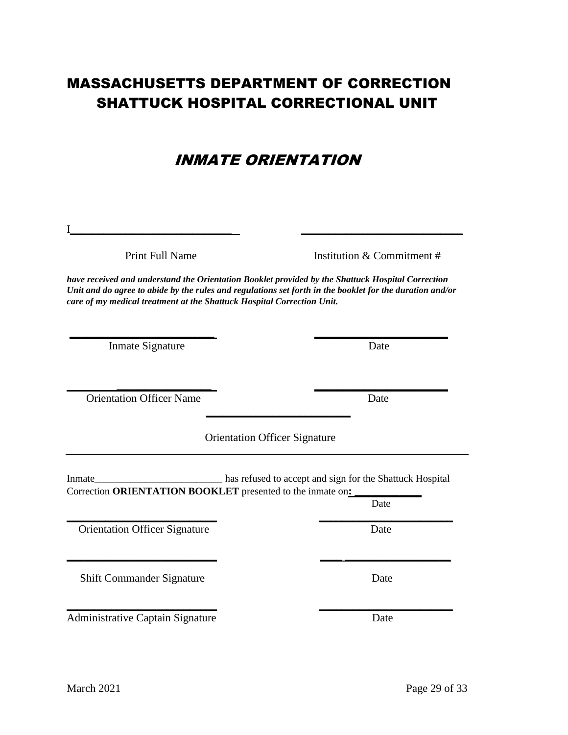# MASSACHUSETTS DEPARTMENT OF CORRECTION SHATTUCK HOSPITAL CORRECTIONAL UNIT

# INMATE ORIENTATION

Print Full Name Institution & Commitment #

*have received and understand the Orientation Booklet provided by the Shattuck Hospital Correction Unit and do agree to abide by the rules and regulations set forth in the booklet for the duration and/or care of my medical treatment at the Shattuck Hospital Correction Unit.*

**\_\_\_\_\_\_\_\_\_\_\_\_\_\_\_\_\_\_\_\_\_\_\_\_\_\_ \_\_\_\_\_\_\_\_\_\_\_\_\_\_\_\_\_\_\_\_\_\_\_\_**

I**\_\_\_\_\_\_\_\_\_\_\_\_\_\_\_\_\_\_\_\_\_\_\_\_\_\_\_\_\_ \_\_\_\_\_\_\_\_\_\_\_\_\_\_\_\_\_\_\_\_\_\_\_\_\_\_\_\_\_** 

Inmate Signature Date

Orientation Officer Name Date

Orientation Officer Signature

 **\_\_\_\_\_\_\_\_\_\_\_\_\_\_\_\_\_ \_\_\_\_\_\_\_\_\_\_\_\_\_\_\_\_\_\_\_\_\_\_\_\_** 

Inmate\_\_\_\_\_\_\_\_\_\_\_\_\_\_\_\_\_\_\_\_\_\_\_\_\_ has refused to accept and sign for the Shattuck Hospital Correction **ORIENTATION BOOKLET** presented to the inmate on**: \_\_\_\_\_\_\_\_\_\_\_\_**

**\_\_\_\_\_\_\_\_\_\_\_\_\_\_\_\_\_\_\_\_\_\_\_\_\_\_** 

**Date Date \_\_\_\_\_\_\_\_\_\_\_\_\_\_\_\_\_\_\_\_\_\_\_\_\_\_\_ \_\_\_\_\_\_\_\_\_\_\_\_\_\_\_\_\_\_\_\_\_\_\_\_**

**Orientation Officer Signature Date** Date

Shift Commander Signature Date

**\_\_\_\_\_\_\_\_\_\_\_\_\_\_\_\_\_\_\_\_\_\_\_\_\_\_\_ \_\_\_\_\_\_\_\_\_\_\_\_\_\_\_\_\_\_\_\_\_\_\_\_** Administrative Captain Signature Date

**\_\_\_\_\_\_\_\_\_\_\_\_\_\_\_\_\_\_\_\_\_\_\_\_\_\_\_ \_\_\_\_ \_\_\_\_\_\_\_\_\_\_\_\_\_\_\_\_\_\_\_**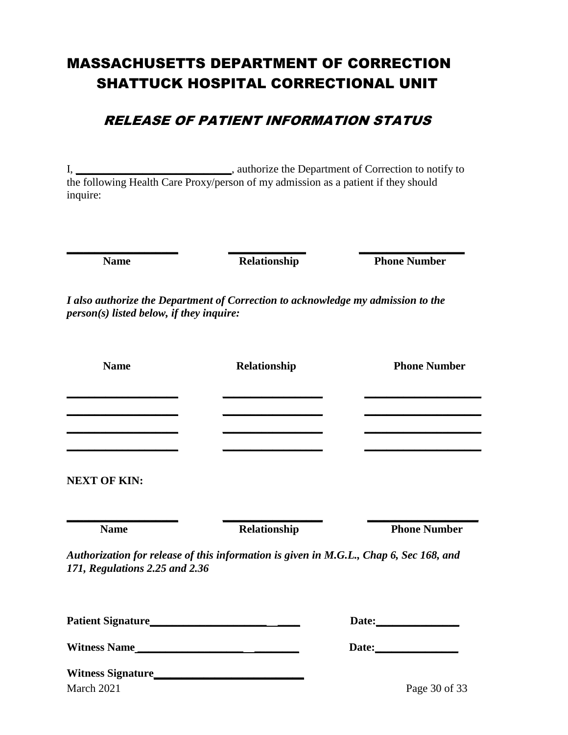# MASSACHUSETTS DEPARTMENT OF CORRECTION SHATTUCK HOSPITAL CORRECTIONAL UNIT

# RELEASE OF PATIENT INFORMATION STATUS

I, **\_\_\_\_\_\_\_\_\_\_\_\_\_\_\_\_\_\_\_\_\_\_\_\_\_\_\_\_**, authorize the Department of Correction to notify to the following Health Care Proxy/person of my admission as a patient if they should inquire:

**\_\_\_\_\_\_\_\_\_\_\_\_\_\_\_\_\_\_\_\_ \_\_\_\_\_\_\_\_\_\_\_\_\_\_ \_\_\_\_\_\_\_\_\_\_\_\_\_\_\_\_\_\_\_**

**Name Relationship Phone Number** 

*I also authorize the Department of Correction to acknowledge my admission to the person(s) listed below, if they inquire:*

| <b>Name</b>                                                                | Relationship                                                                           | <b>Phone Number</b> |
|----------------------------------------------------------------------------|----------------------------------------------------------------------------------------|---------------------|
|                                                                            |                                                                                        |                     |
| the control of the control of the control of the control of the control of |                                                                                        |                     |
| <b>NEXT OF KIN:</b>                                                        |                                                                                        |                     |
| <b>Name</b>                                                                | Relationship                                                                           | <b>Phone Number</b> |
| 171, Regulations 2.25 and 2.36                                             | Authorization for release of this information is given in M.G.L., Chap 6, Sec 168, and |                     |
|                                                                            |                                                                                        |                     |
|                                                                            |                                                                                        |                     |
| Witness Name                                                               |                                                                                        |                     |
| <b>Witness Signature</b>                                                   |                                                                                        |                     |

March 2021 Page 30 of 33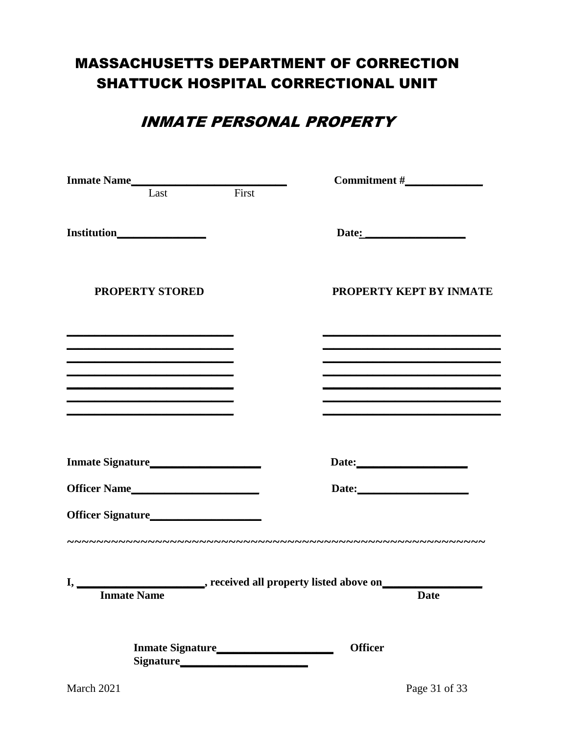# **MASSACHUSETTS DEPARTMENT OF CORRECTION** SHATTUCK HOSPITAL CORRECTIONAL UNIT

# **INMATE PERSONAL PROPERTY**

| Inmate Name                                                                                                                                                                                               |  |                                                                                                                       |  |  |
|-----------------------------------------------------------------------------------------------------------------------------------------------------------------------------------------------------------|--|-----------------------------------------------------------------------------------------------------------------------|--|--|
|                                                                                                                                                                                                           |  |                                                                                                                       |  |  |
|                                                                                                                                                                                                           |  |                                                                                                                       |  |  |
| <b>PROPERTY STORED</b>                                                                                                                                                                                    |  | PROPERTY KEPT BY INMATE                                                                                               |  |  |
| <u> 1980 - Johann John Stone, Amerikaansk politiker (* 1905)</u><br><u> 1989 - Johann Barn, amerikansk politiker (d. 1989)</u>                                                                            |  | <u> 1989 - Andrea Santana, amerikana amerikana amerikana amerikana amerikana amerikana amerikana amerikana amerik</u> |  |  |
| <u> 1989 - Andrea Barbara, amerikan basar dan berasal dalam berasal dalam basa dalam basar dalam berasal dalam b</u>                                                                                      |  |                                                                                                                       |  |  |
|                                                                                                                                                                                                           |  | <u> 1989 - Johann Stein, markin sammen beskriver og det blev til store og det blev til store og det blev til stor</u> |  |  |
| <u> 1989 - Andrea Barbara, amerikana amerikana amerikana amerikana amerikana amerikana amerikana amerikana amerika</u><br>the contract of the contract of the contract of the contract of the contract of |  |                                                                                                                       |  |  |
|                                                                                                                                                                                                           |  | Date:                                                                                                                 |  |  |
| Officer Name                                                                                                                                                                                              |  |                                                                                                                       |  |  |
| Officer Signature<br><u>Discussions</u>                                                                                                                                                                   |  |                                                                                                                       |  |  |
| I,<br><b>Inmate Name</b>                                                                                                                                                                                  |  | , received all property listed above on<br><b>Date</b>                                                                |  |  |
|                                                                                                                                                                                                           |  | <b>Officer</b>                                                                                                        |  |  |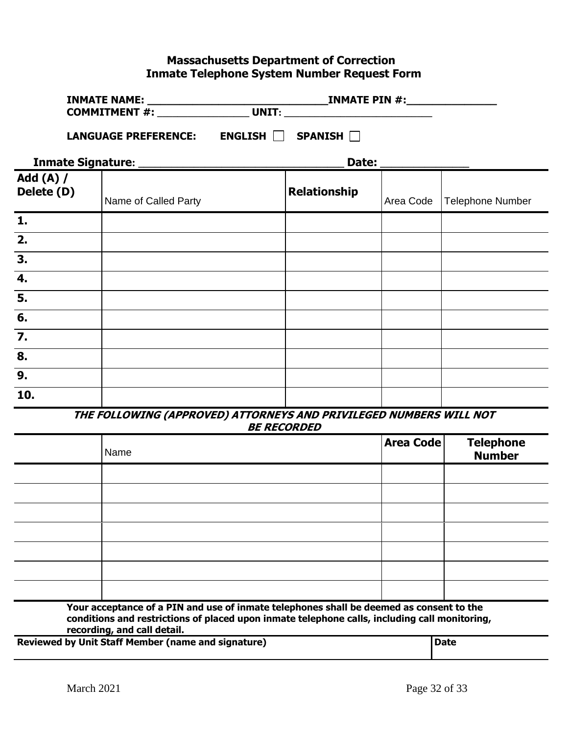# **Massachusetts Department of Correction Inmate Telephone System Number Request Form**

| <b>COMMITMENT #:</b>           |                             | <b>UNIT:</b> the contract of the contract of the contract of the contract of the contract of the contract of the contract of the contract of the contract of the contract of the contract of the contract of the contract of the co |                     |           |                  |
|--------------------------------|-----------------------------|-------------------------------------------------------------------------------------------------------------------------------------------------------------------------------------------------------------------------------------|---------------------|-----------|------------------|
|                                | <b>LANGUAGE PREFERENCE:</b> | ENGLISH                                                                                                                                                                                                                             | SPANISH $\Box$      |           |                  |
|                                |                             |                                                                                                                                                                                                                                     |                     |           |                  |
| <b>Add (A) /</b><br>Delete (D) | Name of Called Party        |                                                                                                                                                                                                                                     | <b>Relationship</b> | Area Code | Telephone Number |
| 1.                             |                             |                                                                                                                                                                                                                                     |                     |           |                  |
| $\overline{2}$ .               |                             |                                                                                                                                                                                                                                     |                     |           |                  |
| $\overline{3}$ .               |                             |                                                                                                                                                                                                                                     |                     |           |                  |
| $\overline{4}$ .               |                             |                                                                                                                                                                                                                                     |                     |           |                  |

**THE FOLLOWING (APPROVED) ATTORNEYS AND PRIVILEGED NUMBERS WILL NOT BE RECORDED**

| Name | <b>Area Code</b> | Telephone<br>Number |
|------|------------------|---------------------|
|      |                  |                     |
|      |                  |                     |
|      |                  |                     |
|      |                  |                     |
|      |                  |                     |
|      |                  |                     |
|      |                  |                     |

**Your acceptance of a PIN and use of inmate telephones shall be deemed as consent to the conditions and restrictions of placed upon inmate telephone calls, including call monitoring, recording, and call detail.**

**Reviewed by Unit Staff Member (name and signature) and the state of Date** 

**5.**

**6.**

**7.**

**8. 9.**

**10.**